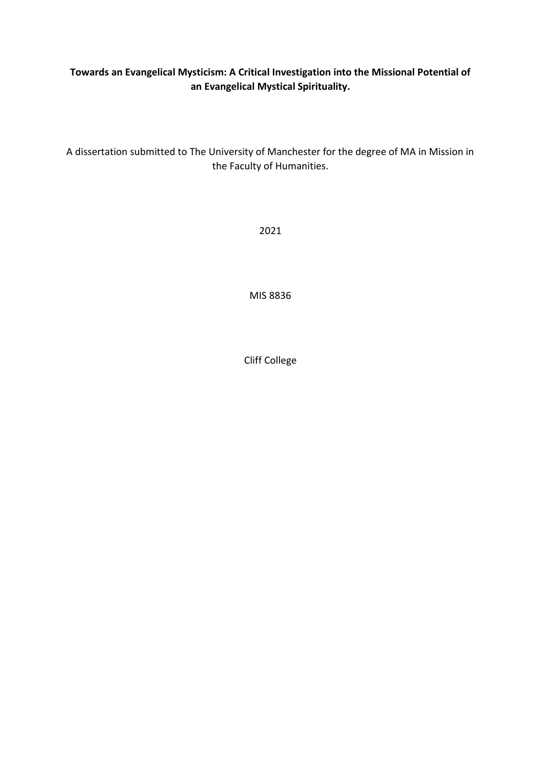# **Towards an Evangelical Mysticism: A Critical Investigation into the Missional Potential of an Evangelical Mystical Spirituality.**

A dissertation submitted to The University of Manchester for the degree of MA in Mission in the Faculty of Humanities.

2021

MIS 8836

Cliff College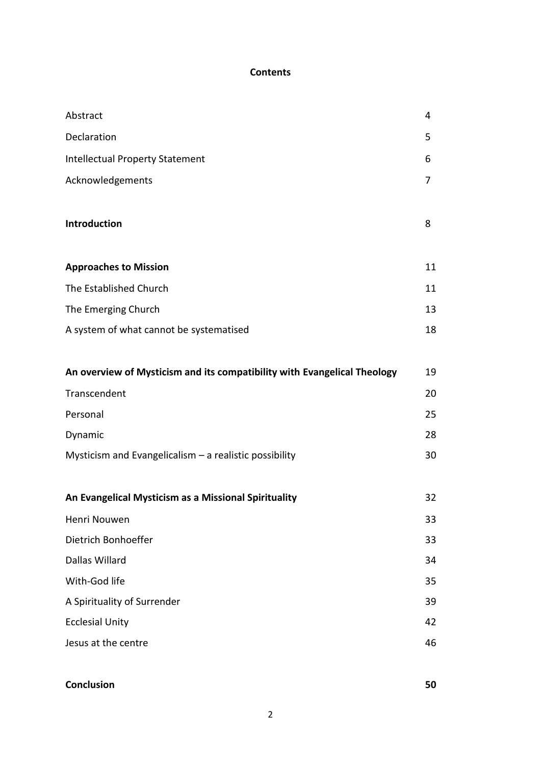# **Contents**

| Abstract                                                                 | 4  |
|--------------------------------------------------------------------------|----|
| Declaration                                                              | 5  |
| <b>Intellectual Property Statement</b>                                   | 6  |
| Acknowledgements                                                         | 7  |
|                                                                          |    |
| Introduction                                                             | 8  |
|                                                                          |    |
| <b>Approaches to Mission</b>                                             | 11 |
| The Established Church                                                   | 11 |
| The Emerging Church                                                      | 13 |
| A system of what cannot be systematised                                  | 18 |
|                                                                          |    |
| An overview of Mysticism and its compatibility with Evangelical Theology | 19 |
| Transcendent                                                             | 20 |
| Personal                                                                 | 25 |
| Dynamic                                                                  | 28 |
| Mysticism and Evangelicalism $-$ a realistic possibility                 | 30 |
|                                                                          |    |
| An Evangelical Mysticism as a Missional Spirituality                     | 32 |
| Henri Nouwen                                                             | 33 |
| Dietrich Bonhoeffer                                                      | 33 |
| Dallas Willard                                                           | 34 |
| With-God life                                                            | 35 |
| A Spirituality of Surrender                                              | 39 |
| <b>Ecclesial Unity</b>                                                   | 42 |
| Jesus at the centre                                                      | 46 |
|                                                                          |    |
| Conclusion                                                               | 50 |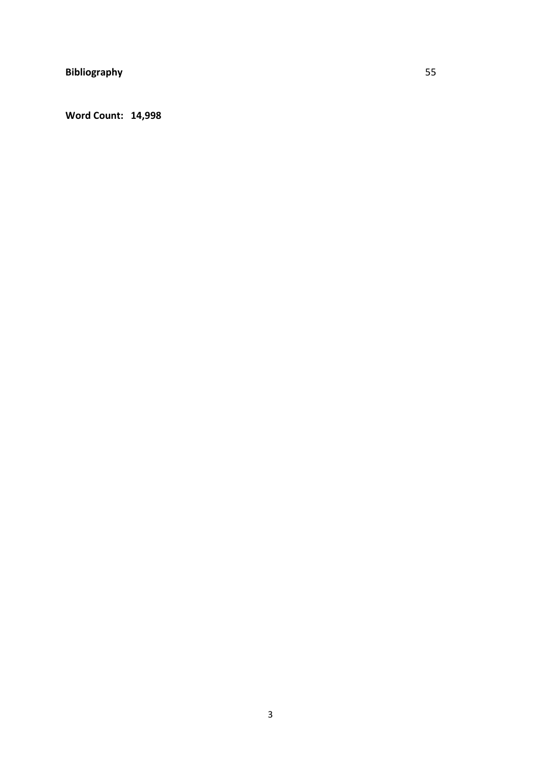**Word Count: 14,998**

3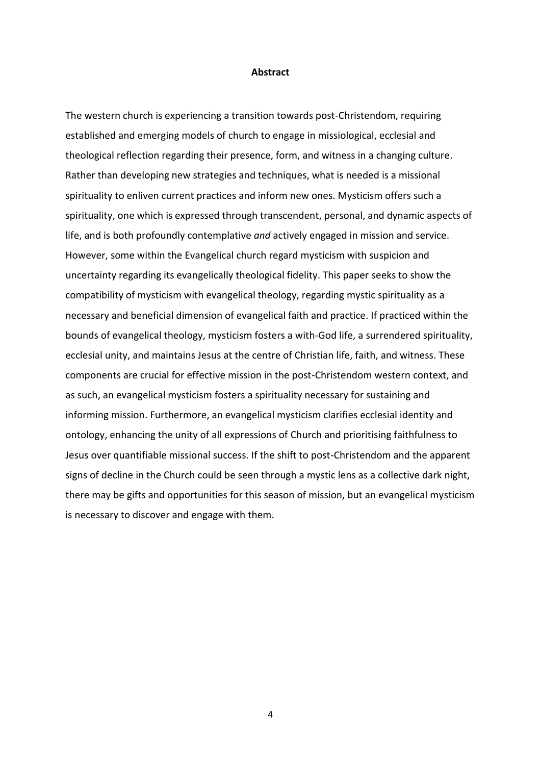#### **Abstract**

The western church is experiencing a transition towards post-Christendom, requiring established and emerging models of church to engage in missiological, ecclesial and theological reflection regarding their presence, form, and witness in a changing culture. Rather than developing new strategies and techniques, what is needed is a missional spirituality to enliven current practices and inform new ones. Mysticism offers such a spirituality, one which is expressed through transcendent, personal, and dynamic aspects of life, and is both profoundly contemplative *and* actively engaged in mission and service. However, some within the Evangelical church regard mysticism with suspicion and uncertainty regarding its evangelically theological fidelity. This paper seeks to show the compatibility of mysticism with evangelical theology, regarding mystic spirituality as a necessary and beneficial dimension of evangelical faith and practice. If practiced within the bounds of evangelical theology, mysticism fosters a with-God life, a surrendered spirituality, ecclesial unity, and maintains Jesus at the centre of Christian life, faith, and witness. These components are crucial for effective mission in the post-Christendom western context, and as such, an evangelical mysticism fosters a spirituality necessary for sustaining and informing mission. Furthermore, an evangelical mysticism clarifies ecclesial identity and ontology, enhancing the unity of all expressions of Church and prioritising faithfulness to Jesus over quantifiable missional success. If the shift to post-Christendom and the apparent signs of decline in the Church could be seen through a mystic lens as a collective dark night, there may be gifts and opportunities for this season of mission, but an evangelical mysticism is necessary to discover and engage with them.

4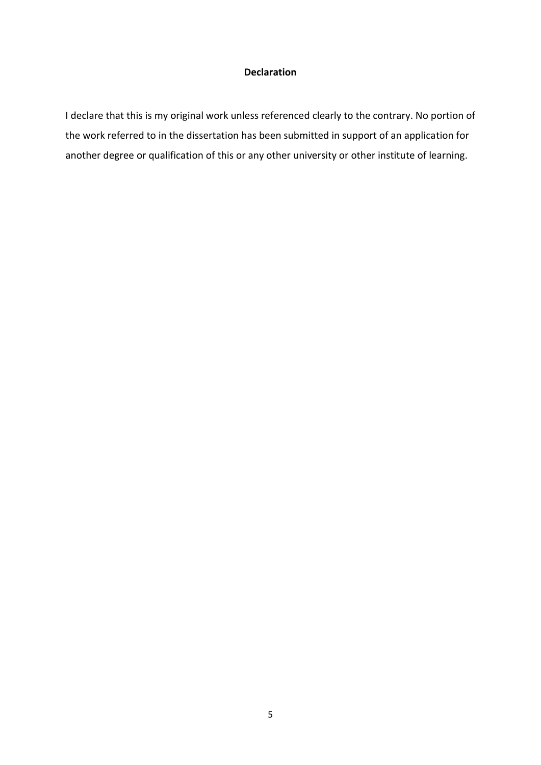# **Declaration**

I declare that this is my original work unless referenced clearly to the contrary. No portion of the work referred to in the dissertation has been submitted in support of an application for another degree or qualification of this or any other university or other institute of learning.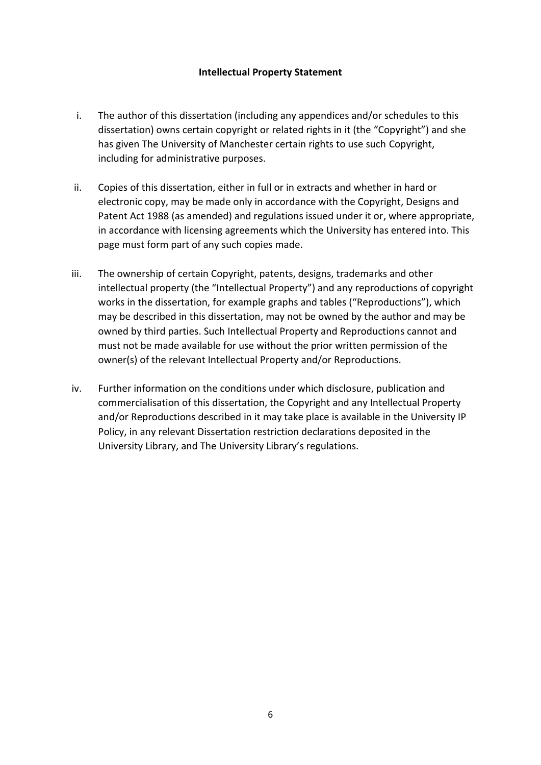# **Intellectual Property Statement**

- i. The author of this dissertation (including any appendices and/or schedules to this dissertation) owns certain copyright or related rights in it (the "Copyright") and she has given The University of Manchester certain rights to use such Copyright, including for administrative purposes.
- ii. Copies of this dissertation, either in full or in extracts and whether in hard or electronic copy, may be made only in accordance with the Copyright, Designs and Patent Act 1988 (as amended) and regulations issued under it or, where appropriate, in accordance with licensing agreements which the University has entered into. This page must form part of any such copies made.
- iii. The ownership of certain Copyright, patents, designs, trademarks and other intellectual property (the "Intellectual Property") and any reproductions of copyright works in the dissertation, for example graphs and tables ("Reproductions"), which may be described in this dissertation, may not be owned by the author and may be owned by third parties. Such Intellectual Property and Reproductions cannot and must not be made available for use without the prior written permission of the owner(s) of the relevant Intellectual Property and/or Reproductions.
- iv. Further information on the conditions under which disclosure, publication and commercialisation of this dissertation, the Copyright and any Intellectual Property and/or Reproductions described in it may take place is available in the University IP Policy, in any relevant Dissertation restriction declarations deposited in the University Library, and The University Library's regulations.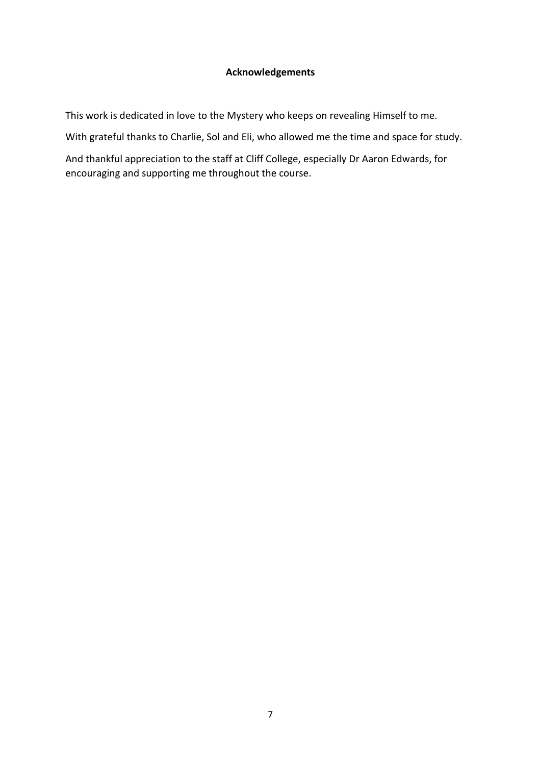# **Acknowledgements**

This work is dedicated in love to the Mystery who keeps on revealing Himself to me.

With grateful thanks to Charlie, Sol and Eli, who allowed me the time and space for study.

And thankful appreciation to the staff at Cliff College, especially Dr Aaron Edwards, for encouraging and supporting me throughout the course.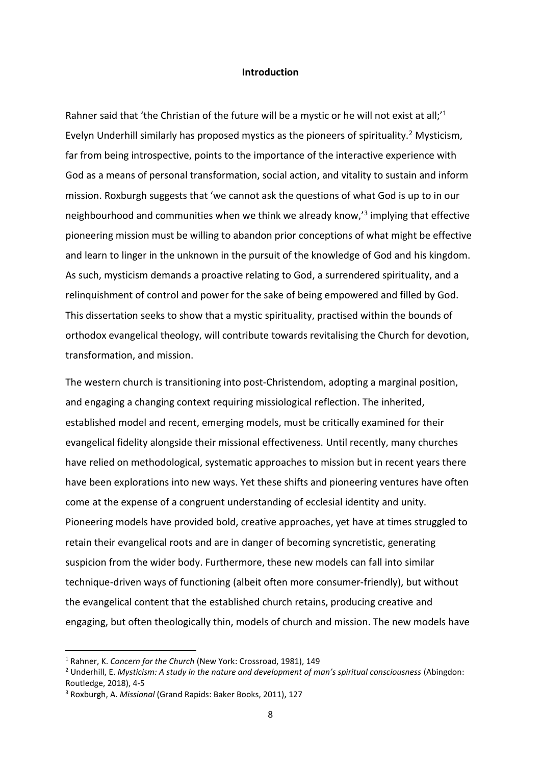#### **Introduction**

Rahner said that 'the Christian of the future will be a mystic or he will not exist at all;<sup>1</sup> Evelyn Underhill similarly has proposed mystics as the pioneers of spirituality.<sup>2</sup> Mysticism, far from being introspective, points to the importance of the interactive experience with God as a means of personal transformation, social action, and vitality to sustain and inform mission. Roxburgh suggests that 'we cannot ask the questions of what God is up to in our neighbourhood and communities when we think we already know,<sup>13</sup> implying that effective pioneering mission must be willing to abandon prior conceptions of what might be effective and learn to linger in the unknown in the pursuit of the knowledge of God and his kingdom. As such, mysticism demands a proactive relating to God, a surrendered spirituality, and a relinquishment of control and power for the sake of being empowered and filled by God. This dissertation seeks to show that a mystic spirituality, practised within the bounds of orthodox evangelical theology, will contribute towards revitalising the Church for devotion, transformation, and mission.

The western church is transitioning into post-Christendom, adopting a marginal position, and engaging a changing context requiring missiological reflection. The inherited, established model and recent, emerging models, must be critically examined for their evangelical fidelity alongside their missional effectiveness. Until recently, many churches have relied on methodological, systematic approaches to mission but in recent years there have been explorations into new ways. Yet these shifts and pioneering ventures have often come at the expense of a congruent understanding of ecclesial identity and unity. Pioneering models have provided bold, creative approaches, yet have at times struggled to retain their evangelical roots and are in danger of becoming syncretistic, generating suspicion from the wider body. Furthermore, these new models can fall into similar technique-driven ways of functioning (albeit often more consumer-friendly), but without the evangelical content that the established church retains, producing creative and engaging, but often theologically thin, models of church and mission. The new models have

<sup>1</sup> Rahner, K. *Concern for the Church* (New York: Crossroad, 1981), 149

<sup>2</sup> Underhill, E. *Mysticism: A study in the nature and development of man's spiritual consciousness* (Abingdon: Routledge, 2018), 4-5

<sup>3</sup> Roxburgh, A. *Missional* (Grand Rapids: Baker Books, 2011), 127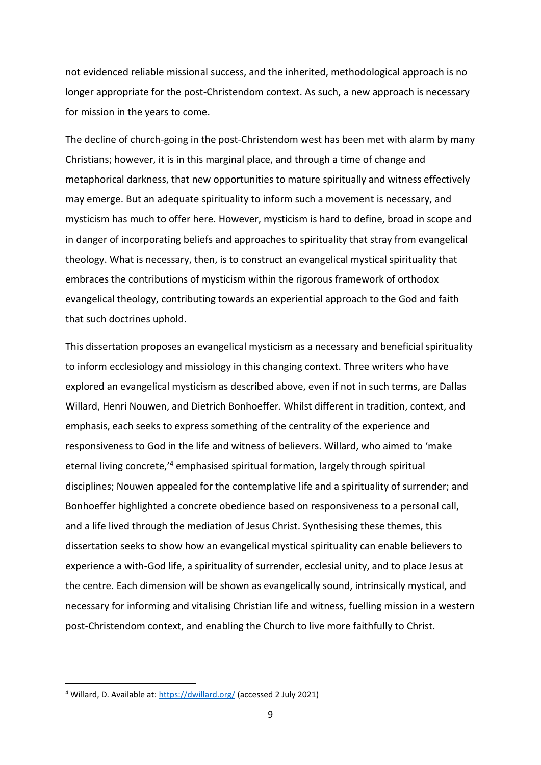not evidenced reliable missional success, and the inherited, methodological approach is no longer appropriate for the post-Christendom context. As such, a new approach is necessary for mission in the years to come.

The decline of church-going in the post-Christendom west has been met with alarm by many Christians; however, it is in this marginal place, and through a time of change and metaphorical darkness, that new opportunities to mature spiritually and witness effectively may emerge. But an adequate spirituality to inform such a movement is necessary, and mysticism has much to offer here. However, mysticism is hard to define, broad in scope and in danger of incorporating beliefs and approaches to spirituality that stray from evangelical theology. What is necessary, then, is to construct an evangelical mystical spirituality that embraces the contributions of mysticism within the rigorous framework of orthodox evangelical theology, contributing towards an experiential approach to the God and faith that such doctrines uphold.

This dissertation proposes an evangelical mysticism as a necessary and beneficial spirituality to inform ecclesiology and missiology in this changing context. Three writers who have explored an evangelical mysticism as described above, even if not in such terms, are Dallas Willard, Henri Nouwen, and Dietrich Bonhoeffer. Whilst different in tradition, context, and emphasis, each seeks to express something of the centrality of the experience and responsiveness to God in the life and witness of believers. Willard, who aimed to 'make eternal living concrete,'<sup>4</sup> emphasised spiritual formation, largely through spiritual disciplines; Nouwen appealed for the contemplative life and a spirituality of surrender; and Bonhoeffer highlighted a concrete obedience based on responsiveness to a personal call, and a life lived through the mediation of Jesus Christ. Synthesising these themes, this dissertation seeks to show how an evangelical mystical spirituality can enable believers to experience a with-God life, a spirituality of surrender, ecclesial unity, and to place Jesus at the centre. Each dimension will be shown as evangelically sound, intrinsically mystical, and necessary for informing and vitalising Christian life and witness, fuelling mission in a western post-Christendom context, and enabling the Church to live more faithfully to Christ.

<sup>&</sup>lt;sup>4</sup> Willard, D. Available at:<https://dwillard.org/> (accessed 2 July 2021)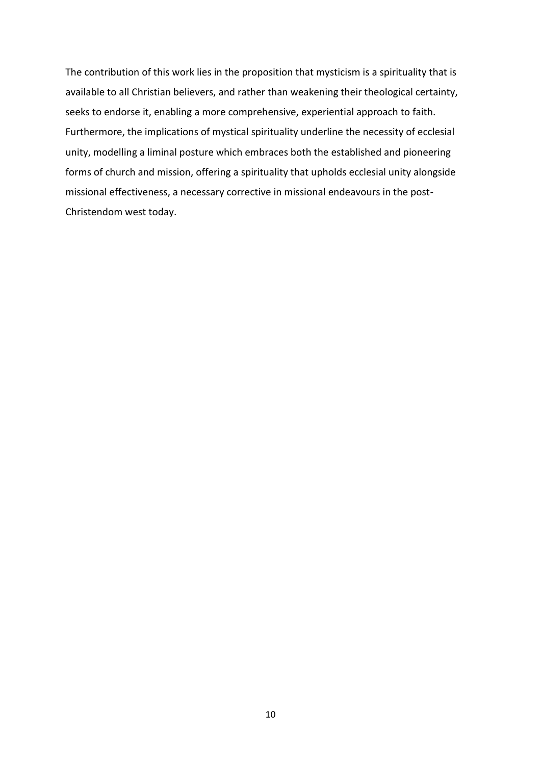The contribution of this work lies in the proposition that mysticism is a spirituality that is available to all Christian believers, and rather than weakening their theological certainty, seeks to endorse it, enabling a more comprehensive, experiential approach to faith. Furthermore, the implications of mystical spirituality underline the necessity of ecclesial unity, modelling a liminal posture which embraces both the established and pioneering forms of church and mission, offering a spirituality that upholds ecclesial unity alongside missional effectiveness, a necessary corrective in missional endeavours in the post-Christendom west today.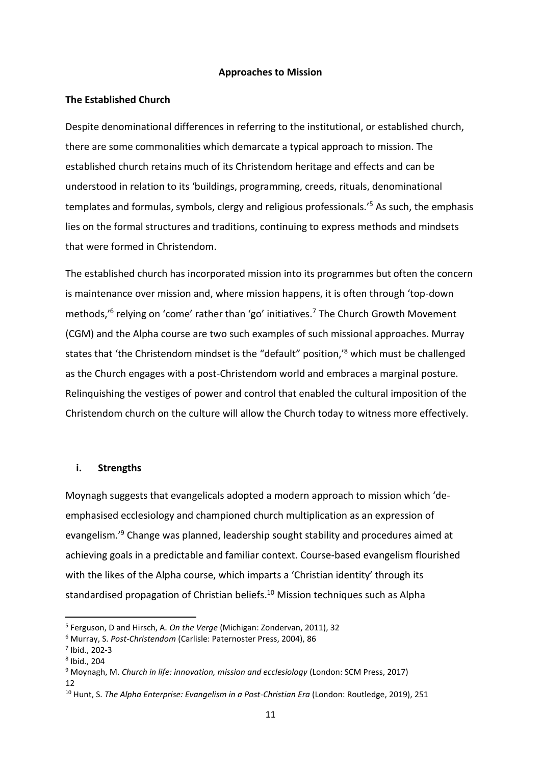# **Approaches to Mission**

# **The Established Church**

Despite denominational differences in referring to the institutional, or established church, there are some commonalities which demarcate a typical approach to mission. The established church retains much of its Christendom heritage and effects and can be understood in relation to its 'buildings, programming, creeds, rituals, denominational templates and formulas, symbols, clergy and religious professionals.'<sup>5</sup> As such, the emphasis lies on the formal structures and traditions, continuing to express methods and mindsets that were formed in Christendom.

The established church has incorporated mission into its programmes but often the concern is maintenance over mission and, where mission happens, it is often through 'top-down methods,<sup>'6</sup> relying on 'come' rather than 'go' initiatives.<sup>7</sup> The Church Growth Movement (CGM) and the Alpha course are two such examples of such missional approaches. Murray states that 'the Christendom mindset is the "default" position,' <sup>8</sup> which must be challenged as the Church engages with a post-Christendom world and embraces a marginal posture. Relinquishing the vestiges of power and control that enabled the cultural imposition of the Christendom church on the culture will allow the Church today to witness more effectively.

#### **i. Strengths**

Moynagh suggests that evangelicals adopted a modern approach to mission which 'deemphasised ecclesiology and championed church multiplication as an expression of evangelism.'<sup>9</sup> Change was planned, leadership sought stability and procedures aimed at achieving goals in a predictable and familiar context. Course-based evangelism flourished with the likes of the Alpha course, which imparts a 'Christian identity' through its standardised propagation of Christian beliefs.<sup>10</sup> Mission techniques such as Alpha

<sup>5</sup> Ferguson, D and Hirsch, A. *On the Verge* (Michigan: Zondervan, 2011), 32

<sup>6</sup> Murray, S. *Post-Christendom* (Carlisle: Paternoster Press, 2004), 86

<sup>7</sup> Ibid., 202-3

<sup>8</sup> Ibid., 204

<sup>9</sup> Moynagh, M. *Church in life: innovation, mission and ecclesiology* (London: SCM Press, 2017) 12

<sup>10</sup> Hunt, S. *The Alpha Enterprise: Evangelism in a Post-Christian Era* (London: Routledge, 2019), 251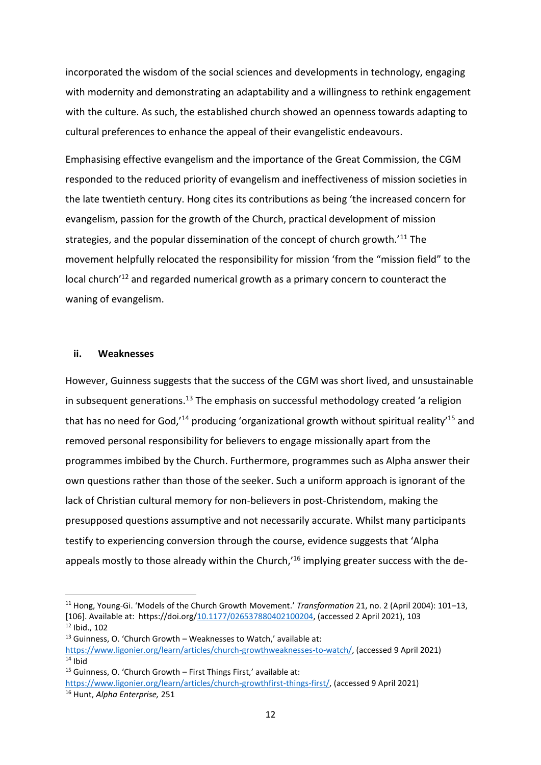incorporated the wisdom of the social sciences and developments in technology, engaging with modernity and demonstrating an adaptability and a willingness to rethink engagement with the culture. As such, the established church showed an openness towards adapting to cultural preferences to enhance the appeal of their evangelistic endeavours.

Emphasising effective evangelism and the importance of the Great Commission, the CGM responded to the reduced priority of evangelism and ineffectiveness of mission societies in the late twentieth century. Hong cites its contributions as being 'the increased concern for evangelism, passion for the growth of the Church, practical development of mission strategies, and the popular dissemination of the concept of church growth.<sup>'11</sup> The movement helpfully relocated the responsibility for mission 'from the "mission field" to the local church<sup>'12</sup> and regarded numerical growth as a primary concern to counteract the waning of evangelism.

# **ii. Weaknesses**

However, Guinness suggests that the success of the CGM was short lived, and unsustainable in subsequent generations.<sup>13</sup> The emphasis on successful methodology created 'a religion that has no need for God,<sup>14</sup> producing 'organizational growth without spiritual reality<sup>15</sup> and removed personal responsibility for believers to engage missionally apart from the programmes imbibed by the Church. Furthermore, programmes such as Alpha answer their own questions rather than those of the seeker. Such a uniform approach is ignorant of the lack of Christian cultural memory for non-believers in post-Christendom, making the presupposed questions assumptive and not necessarily accurate. Whilst many participants testify to experiencing conversion through the course, evidence suggests that 'Alpha appeals mostly to those already within the Church,<sup>16</sup> implying greater success with the de-

<sup>11</sup> Hong, Young-Gi. 'Models of the Church Growth Movement.' *Transformation* 21, no. 2 (April 2004): 101–13, [106]. Available at: https://doi.org[/10.1177/026537880402100204,](https://doi-org.dtl.idm.oclc.org/10.1177/026537880402100204) (accessed 2 April 2021), 103  $12$  Ibid., 102

<sup>&</sup>lt;sup>13</sup> Guinness, O. 'Church Growth – Weaknesses to Watch,' available at:

[https://www.ligonier.org/learn/articles/church-growthweaknesses-to-watch/,](https://www.ligonier.org/learn/articles/church-growthweaknesses-to-watch/) (accessed 9 April 2021)  $14$  Ibid

 $15$  Guinness, O. 'Church Growth – First Things First,' available at:

[https://www.ligonier.org/learn/articles/church-growthfirst-things-first/,](https://www.ligonier.org/learn/articles/church-growthfirst-things-first/) (accessed 9 April 2021)

<sup>16</sup> Hunt, *Alpha Enterprise,* 251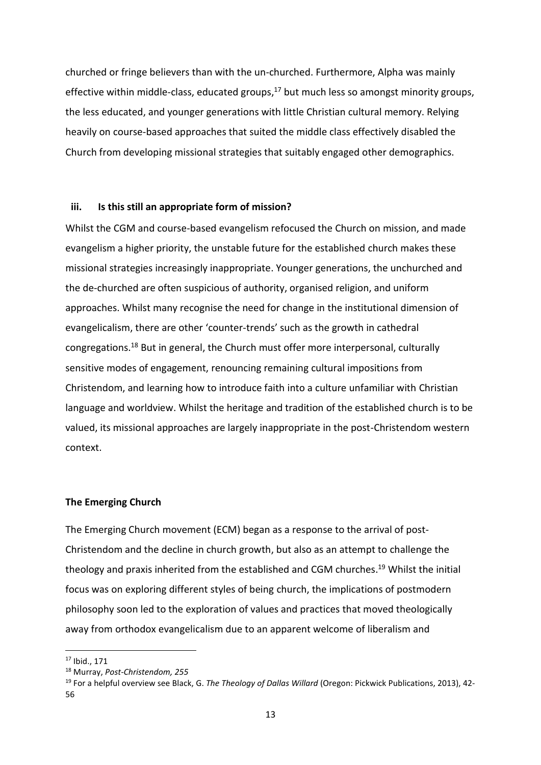churched or fringe believers than with the un-churched. Furthermore, Alpha was mainly effective within middle-class, educated groups,<sup>17</sup> but much less so amongst minority groups, the less educated, and younger generations with little Christian cultural memory. Relying heavily on course-based approaches that suited the middle class effectively disabled the Church from developing missional strategies that suitably engaged other demographics.

## **iii. Is this still an appropriate form of mission?**

Whilst the CGM and course-based evangelism refocused the Church on mission, and made evangelism a higher priority, the unstable future for the established church makes these missional strategies increasingly inappropriate. Younger generations, the unchurched and the de-churched are often suspicious of authority, organised religion, and uniform approaches. Whilst many recognise the need for change in the institutional dimension of evangelicalism, there are other 'counter-trends' such as the growth in cathedral congregations.<sup>18</sup> But in general, the Church must offer more interpersonal, culturally sensitive modes of engagement, renouncing remaining cultural impositions from Christendom, and learning how to introduce faith into a culture unfamiliar with Christian language and worldview. Whilst the heritage and tradition of the established church is to be valued, its missional approaches are largely inappropriate in the post-Christendom western context.

#### **The Emerging Church**

The Emerging Church movement (ECM) began as a response to the arrival of post-Christendom and the decline in church growth, but also as an attempt to challenge the theology and praxis inherited from the established and CGM churches. <sup>19</sup> Whilst the initial focus was on exploring different styles of being church, the implications of postmodern philosophy soon led to the exploration of values and practices that moved theologically away from orthodox evangelicalism due to an apparent welcome of liberalism and

<sup>17</sup> Ibid., 171

<sup>18</sup> Murray, *Post-Christendom, 255*

<sup>19</sup> For a helpful overview see Black, G. *The Theology of Dallas Willard* (Oregon: Pickwick Publications, 2013), 42- 56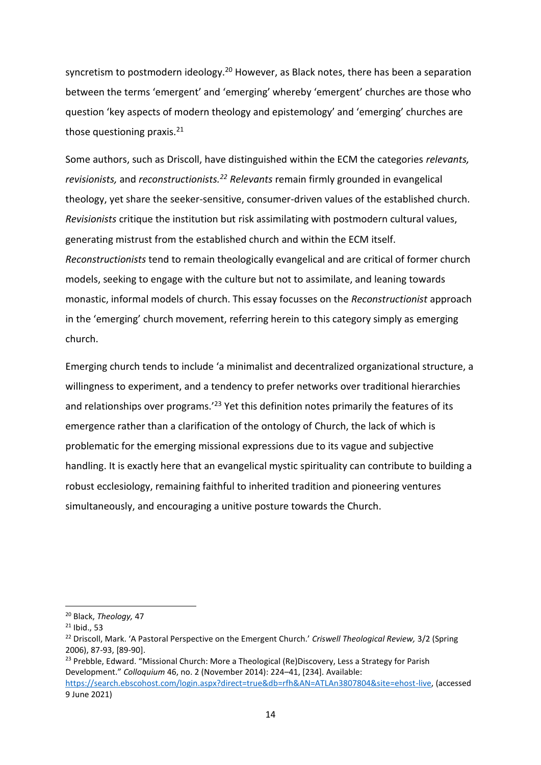syncretism to postmodern ideology.<sup>20</sup> However, as Black notes, there has been a separation between the terms 'emergent' and 'emerging' whereby 'emergent' churches are those who question 'key aspects of modern theology and epistemology' and 'emerging' churches are those questioning praxis. $21$ 

Some authors, such as Driscoll, have distinguished within the ECM the categories *relevants, revisionists,* and *reconstructionists.<sup>22</sup> Relevants* remain firmly grounded in evangelical theology, yet share the seeker-sensitive, consumer-driven values of the established church. *Revisionists* critique the institution but risk assimilating with postmodern cultural values, generating mistrust from the established church and within the ECM itself. *Reconstructionists* tend to remain theologically evangelical and are critical of former church models, seeking to engage with the culture but not to assimilate, and leaning towards monastic, informal models of church. This essay focusses on the *Reconstructionist* approach in the 'emerging' church movement, referring herein to this category simply as emerging church.

Emerging church tends to include 'a minimalist and decentralized organizational structure, a willingness to experiment, and a tendency to prefer networks over traditional hierarchies and relationships over programs.<sup>'23</sup> Yet this definition notes primarily the features of its emergence rather than a clarification of the ontology of Church, the lack of which is problematic for the emerging missional expressions due to its vague and subjective handling. It is exactly here that an evangelical mystic spirituality can contribute to building a robust ecclesiology, remaining faithful to inherited tradition and pioneering ventures simultaneously, and encouraging a unitive posture towards the Church.

<sup>23</sup> Prebble, Edward. "Missional Church: More a Theological (Re)Discovery, Less a Strategy for Parish Development." *Colloquium* 46, no. 2 (November 2014): 224–41, [234]. Available: [https://search.ebscohost.com/login.aspx?direct=true&db=rfh&AN=ATLAn3807804&site=ehost-live,](https://search.ebscohost.com/login.aspx?direct=true&db=rfh&AN=ATLAn3807804&site=ehost-live) (accessed

9 June 2021)

<sup>20</sup> Black, *Theology,* 47

 $21$  Ibid., 53

<sup>22</sup> Driscoll, Mark. 'A Pastoral Perspective on the Emergent Church.' *Criswell Theological Review,* 3/2 (Spring 2006), 87-93, [89-90].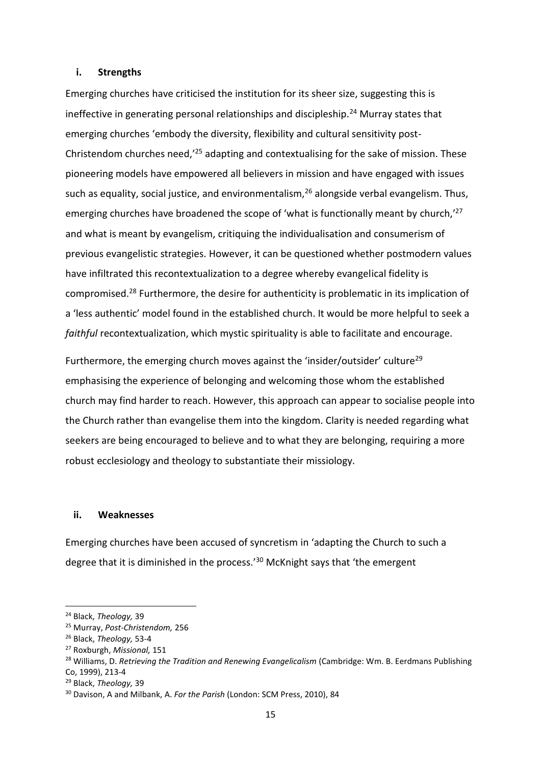#### **i. Strengths**

Emerging churches have criticised the institution for its sheer size, suggesting this is ineffective in generating personal relationships and discipleship.<sup>24</sup> Murray states that emerging churches 'embody the diversity, flexibility and cultural sensitivity post-Christendom churches need,'<sup>25</sup> adapting and contextualising for the sake of mission. These pioneering models have empowered all believers in mission and have engaged with issues such as equality, social justice, and environmentalism, <sup>26</sup> alongside verbal evangelism. Thus, emerging churches have broadened the scope of 'what is functionally meant by church,<sup>'27</sup> and what is meant by evangelism, critiquing the individualisation and consumerism of previous evangelistic strategies. However, it can be questioned whether postmodern values have infiltrated this recontextualization to a degree whereby evangelical fidelity is compromised.<sup>28</sup> Furthermore, the desire for authenticity is problematic in its implication of a 'less authentic' model found in the established church. It would be more helpful to seek a *faithful* recontextualization, which mystic spirituality is able to facilitate and encourage.

Furthermore, the emerging church moves against the 'insider/outsider' culture<sup>29</sup> emphasising the experience of belonging and welcoming those whom the established church may find harder to reach. However, this approach can appear to socialise people into the Church rather than evangelise them into the kingdom. Clarity is needed regarding what seekers are being encouraged to believe and to what they are belonging, requiring a more robust ecclesiology and theology to substantiate their missiology.

#### **ii. Weaknesses**

Emerging churches have been accused of syncretism in 'adapting the Church to such a degree that it is diminished in the process.'<sup>30</sup> McKnight says that 'the emergent

<sup>24</sup> Black, *Theology,* 39

<sup>25</sup> Murray, *Post-Christendom,* 256

<sup>26</sup> Black, *Theology,* 53-4

<sup>27</sup> Roxburgh, *Missional,* 151

<sup>&</sup>lt;sup>28</sup> Williams, D. *Retrieving the Tradition and Renewing Evangelicalism* (Cambridge: Wm. B. Eerdmans Publishing Co, 1999), 213-4

<sup>29</sup> Black, *Theology,* 39

<sup>30</sup> Davison, A and Milbank, A. *For the Parish* (London: SCM Press, 2010), 84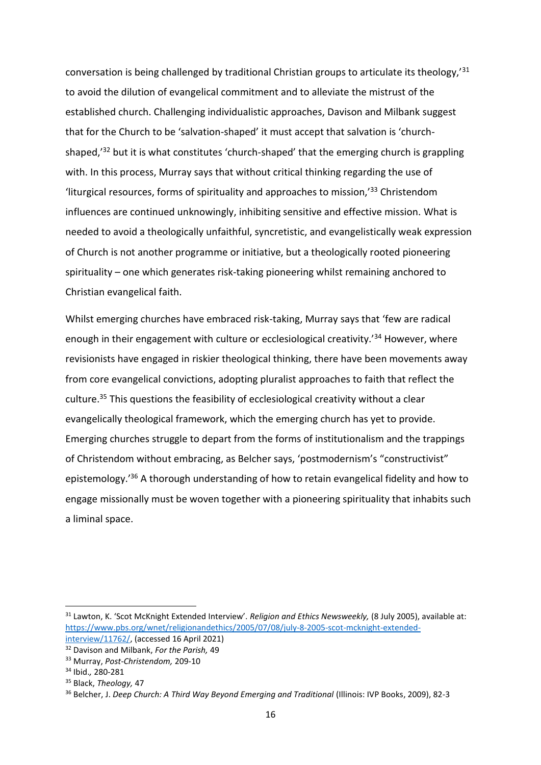conversation is being challenged by traditional Christian groups to articulate its theology,'<sup>31</sup> to avoid the dilution of evangelical commitment and to alleviate the mistrust of the established church. Challenging individualistic approaches, Davison and Milbank suggest that for the Church to be 'salvation-shaped' it must accept that salvation is 'churchshaped, $32$  but it is what constitutes 'church-shaped' that the emerging church is grappling with. In this process, Murray says that without critical thinking regarding the use of 'liturgical resources, forms of spirituality and approaches to mission,'<sup>33</sup> Christendom influences are continued unknowingly, inhibiting sensitive and effective mission. What is needed to avoid a theologically unfaithful, syncretistic, and evangelistically weak expression of Church is not another programme or initiative, but a theologically rooted pioneering spirituality – one which generates risk-taking pioneering whilst remaining anchored to Christian evangelical faith.

Whilst emerging churches have embraced risk-taking, Murray says that 'few are radical enough in their engagement with culture or ecclesiological creativity.<sup>'34</sup> However, where revisionists have engaged in riskier theological thinking, there have been movements away from core evangelical convictions, adopting pluralist approaches to faith that reflect the culture. <sup>35</sup> This questions the feasibility of ecclesiological creativity without a clear evangelically theological framework, which the emerging church has yet to provide. Emerging churches struggle to depart from the forms of institutionalism and the trappings of Christendom without embracing, as Belcher says, 'postmodernism's "constructivist" epistemology.'<sup>36</sup> A thorough understanding of how to retain evangelical fidelity and how to engage missionally must be woven together with a pioneering spirituality that inhabits such a liminal space.

<sup>31</sup> Lawton, K. 'Scot McKnight Extended Interview'. *Religion and Ethics Newsweekly,* (8 July 2005), available at: [https://www.pbs.org/wnet/religionandethics/2005/07/08/july-8-2005-scot-mcknight-extended](https://www.pbs.org/wnet/religionandethics/2005/07/08/july-8-2005-scot-mcknight-extended-interview/11762/)[interview/11762/,](https://www.pbs.org/wnet/religionandethics/2005/07/08/july-8-2005-scot-mcknight-extended-interview/11762/) (accessed 16 April 2021)

<sup>32</sup> Davison and Milbank, *For the Parish,* 49

<sup>33</sup> Murray, *Post-Christendom,* 209-10

<sup>34</sup> Ibid.*,* 280-281

<sup>35</sup> Black, *Theology,* 47

<sup>36</sup> Belcher, J. *Deep Church: A Third Way Beyond Emerging and Traditional* (Illinois: IVP Books, 2009), 82-3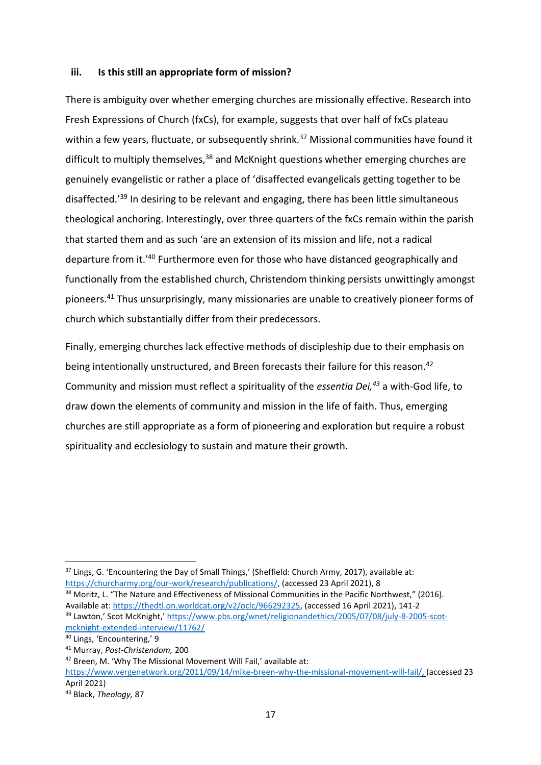## **iii. Is this still an appropriate form of mission?**

There is ambiguity over whether emerging churches are missionally effective. Research into Fresh Expressions of Church (fxCs), for example, suggests that over half of fxCs plateau within a few years, fluctuate, or subsequently shrink.<sup>37</sup> Missional communities have found it difficult to multiply themselves, $38$  and McKnight questions whether emerging churches are genuinely evangelistic or rather a place of 'disaffected evangelicals getting together to be disaffected.'<sup>39</sup> In desiring to be relevant and engaging, there has been little simultaneous theological anchoring. Interestingly, over three quarters of the fxCs remain within the parish that started them and as such 'are an extension of its mission and life, not a radical departure from it.'<sup>40</sup> Furthermore even for those who have distanced geographically and functionally from the established church, Christendom thinking persists unwittingly amongst pioneers.<sup>41</sup> Thus unsurprisingly, many missionaries are unable to creatively pioneer forms of church which substantially differ from their predecessors.

Finally, emerging churches lack effective methods of discipleship due to their emphasis on being intentionally unstructured, and Breen forecasts their failure for this reason.<sup>42</sup> Community and mission must reflect a spirituality of the *essentia Dei,<sup>43</sup>* a with-God life, to draw down the elements of community and mission in the life of faith. Thus, emerging churches are still appropriate as a form of pioneering and exploration but require a robust spirituality and ecclesiology to sustain and mature their growth.

<sup>38</sup> Moritz, L. "The Nature and Effectiveness of Missional Communities in the Pacific Northwest," (2016). Available at[: https://thedtl.on.worldcat.org/v2/oclc/966292325,](https://thedtl.on.worldcat.org/v2/oclc/966292325) (accessed 16 April 2021), 141-2 <sup>39</sup> Lawton,' Scot McKnight,' [https://www.pbs.org/wnet/religionandethics/2005/07/08/july-8-2005-scot-](https://www.pbs.org/wnet/religionandethics/2005/07/08/july-8-2005-scot-mcknight-extended-interview/11762/)

<sup>&</sup>lt;sup>37</sup> Lings, G. 'Encountering the Day of Small Things,' (Sheffield: Church Army, 2017), available at: [https://churcharmy.org/our-work/research/publications/,](https://churcharmy.org/our-work/research/publications/) (accessed 23 April 2021), 8

[mcknight-extended-interview/11762/](https://www.pbs.org/wnet/religionandethics/2005/07/08/july-8-2005-scot-mcknight-extended-interview/11762/)

<sup>40</sup> Lings, 'Encountering,' 9 <sup>41</sup> Murray, *Post-Christendom,* 200

<sup>42</sup> Breen, M. 'Why The Missional Movement Will Fail,' available at:

[https://www.vergenetwork.org/2011/09/14/mike-breen-why-the-missional-movement-will-fail/,](https://www.vergenetwork.org/2011/09/14/mike-breen-why-the-missional-movement-will-fail/) (accessed 23 April 2021)

<sup>43</sup> Black, *Theology,* 87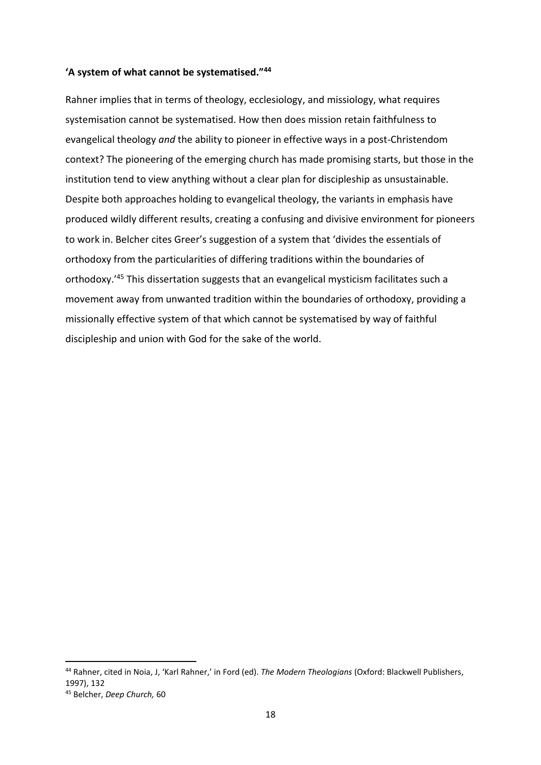# **'A system of what cannot be systematised."<sup>44</sup>**

Rahner implies that in terms of theology, ecclesiology, and missiology, what requires systemisation cannot be systematised. How then does mission retain faithfulness to evangelical theology *and* the ability to pioneer in effective ways in a post-Christendom context? The pioneering of the emerging church has made promising starts, but those in the institution tend to view anything without a clear plan for discipleship as unsustainable. Despite both approaches holding to evangelical theology, the variants in emphasis have produced wildly different results, creating a confusing and divisive environment for pioneers to work in. Belcher cites Greer's suggestion of a system that 'divides the essentials of orthodoxy from the particularities of differing traditions within the boundaries of orthodoxy.'<sup>45</sup> This dissertation suggests that an evangelical mysticism facilitates such a movement away from unwanted tradition within the boundaries of orthodoxy, providing a missionally effective system of that which cannot be systematised by way of faithful discipleship and union with God for the sake of the world.

<sup>44</sup> Rahner, cited in Noia, J, 'Karl Rahner,' in Ford (ed). *The Modern Theologians* (Oxford: Blackwell Publishers, 1997), 132

<sup>45</sup> Belcher, *Deep Church,* 60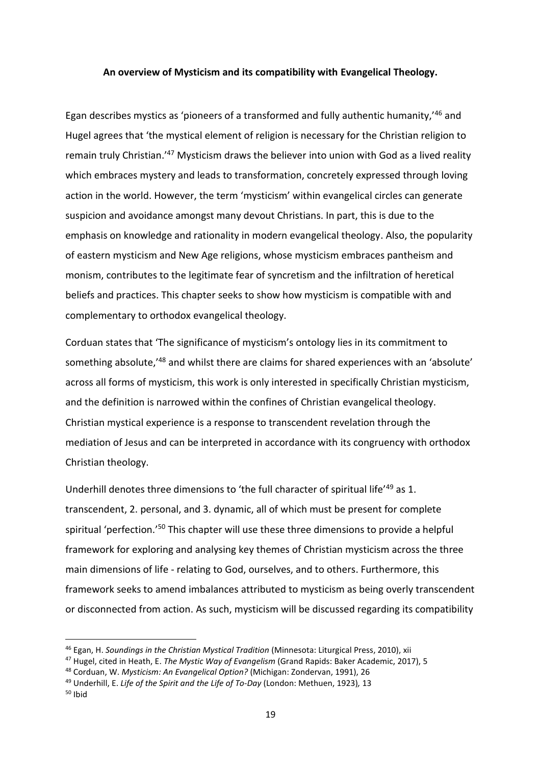# **An overview of Mysticism and its compatibility with Evangelical Theology.**

Egan describes mystics as 'pioneers of a transformed and fully authentic humanity,'<sup>46</sup> and Hugel agrees that 'the mystical element of religion is necessary for the Christian religion to remain truly Christian.<sup>147</sup> Mysticism draws the believer into union with God as a lived reality which embraces mystery and leads to transformation, concretely expressed through loving action in the world. However, the term 'mysticism' within evangelical circles can generate suspicion and avoidance amongst many devout Christians. In part, this is due to the emphasis on knowledge and rationality in modern evangelical theology. Also, the popularity of eastern mysticism and New Age religions, whose mysticism embraces pantheism and monism, contributes to the legitimate fear of syncretism and the infiltration of heretical beliefs and practices. This chapter seeks to show how mysticism is compatible with and complementary to orthodox evangelical theology.

Corduan states that 'The significance of mysticism's ontology lies in its commitment to something absolute,'<sup>48</sup> and whilst there are claims for shared experiences with an 'absolute' across all forms of mysticism, this work is only interested in specifically Christian mysticism, and the definition is narrowed within the confines of Christian evangelical theology. Christian mystical experience is a response to transcendent revelation through the mediation of Jesus and can be interpreted in accordance with its congruency with orthodox Christian theology.

Underhill denotes three dimensions to 'the full character of spiritual life'<sup>49</sup> as 1. transcendent, 2. personal, and 3. dynamic, all of which must be present for complete spiritual 'perfection.'<sup>50</sup> This chapter will use these three dimensions to provide a helpful framework for exploring and analysing key themes of Christian mysticism across the three main dimensions of life - relating to God, ourselves, and to others. Furthermore, this framework seeks to amend imbalances attributed to mysticism as being overly transcendent or disconnected from action. As such, mysticism will be discussed regarding its compatibility

<sup>46</sup> Egan, H. *Soundings in the Christian Mystical Tradition* (Minnesota: Liturgical Press, 2010), xii

<sup>47</sup> Hugel, cited in Heath, E. *The Mystic Way of Evangelism* (Grand Rapids: Baker Academic, 2017), 5

<sup>48</sup> Corduan, W. *Mysticism: An Evangelical Option?* (Michigan: Zondervan, 1991), 26

<sup>49</sup> Underhill, E. *Life of the Spirit and the Life of To-Day* (London: Methuen, 1923)*,* 13

 $50$  Ibid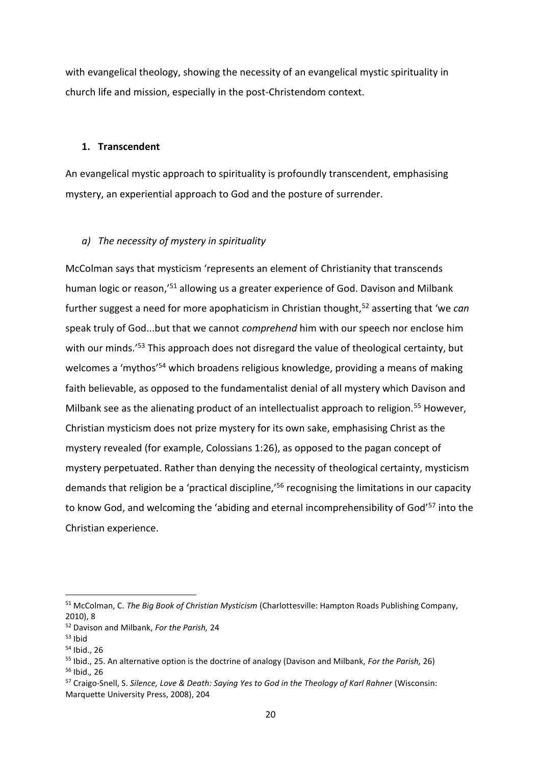with evangelical theology, showing the necessity of an evangelical mystic spirituality in church life and mission, especially in the post-Christendom context.

#### **1. Transcendent**

An evangelical mystic approach to spirituality is profoundly transcendent, emphasising mystery, an experiential approach to God and the posture of surrender.

# *a) The necessity of mystery in spirituality*

McColman says that mysticism 'represents an element of Christianity that transcends human logic or reason,'<sup>51</sup> allowing us a greater experience of God. Davison and Milbank further suggest a need for more apophaticism in Christian thought,<sup>52</sup> asserting that 'we *can*  speak truly of God...but that we cannot *comprehend* him with our speech nor enclose him with our minds.<sup>'53</sup> This approach does not disregard the value of theological certainty, but welcomes a 'mythos'<sup>54</sup> which broadens religious knowledge, providing a means of making faith believable, as opposed to the fundamentalist denial of all mystery which Davison and Milbank see as the alienating product of an intellectualist approach to religion.<sup>55</sup> However, Christian mysticism does not prize mystery for its own sake, emphasising Christ as the mystery revealed (for example, Colossians 1:26), as opposed to the pagan concept of mystery perpetuated. Rather than denying the necessity of theological certainty, mysticism demands that religion be a 'practical discipline,'<sup>56</sup> recognising the limitations in our capacity to know God, and welcoming the 'abiding and eternal incomprehensibility of God'<sup>57</sup> into the Christian experience.

<sup>51</sup> McColman, C. *The Big Book of Christian Mysticism* (Charlottesville: Hampton Roads Publishing Company, 2010), 8

<sup>52</sup> Davison and Milbank, *For the Parish,* 24

 $53$  Ibid

<sup>54</sup> Ibid., 26

<sup>55</sup> Ibid., 25. An alternative option is the doctrine of analogy (Davison and Milbank, *For the Parish,* 26) <sup>56</sup> Ibid.*,* 26

<sup>57</sup> Craigo-Snell, S. *Silence, Love & Death: Saying Yes to God in the Theology of Karl Rahner* (Wisconsin: Marquette University Press, 2008), 204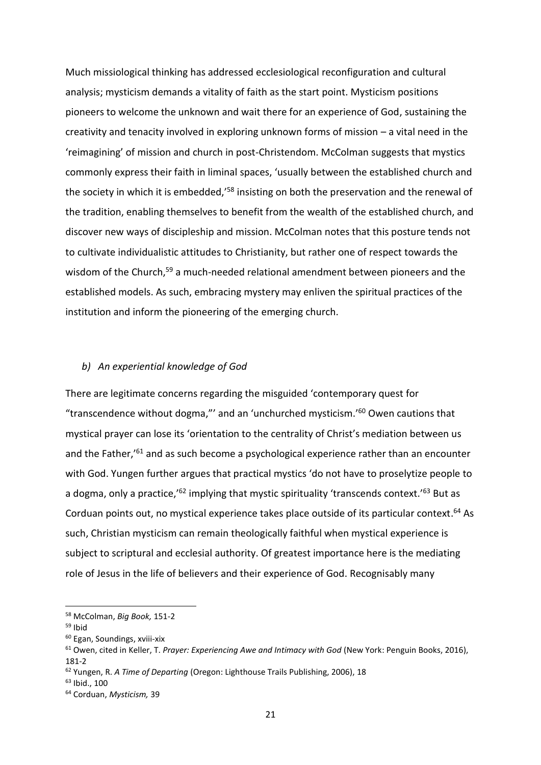Much missiological thinking has addressed ecclesiological reconfiguration and cultural analysis; mysticism demands a vitality of faith as the start point. Mysticism positions pioneers to welcome the unknown and wait there for an experience of God, sustaining the creativity and tenacity involved in exploring unknown forms of mission – a vital need in the 'reimagining' of mission and church in post-Christendom. McColman suggests that mystics commonly express their faith in liminal spaces, 'usually between the established church and the society in which it is embedded,<sup>'58</sup> insisting on both the preservation and the renewal of the tradition, enabling themselves to benefit from the wealth of the established church, and discover new ways of discipleship and mission. McColman notes that this posture tends not to cultivate individualistic attitudes to Christianity, but rather one of respect towards the wisdom of the Church,<sup>59</sup> a much-needed relational amendment between pioneers and the established models. As such, embracing mystery may enliven the spiritual practices of the institution and inform the pioneering of the emerging church.

## *b) An experiential knowledge of God*

There are legitimate concerns regarding the misguided 'contemporary quest for "transcendence without dogma,"' and an 'unchurched mysticism.' <sup>60</sup> Owen cautions that mystical prayer can lose its 'orientation to the centrality of Christ's mediation between us and the Father,<sup>'61</sup> and as such become a psychological experience rather than an encounter with God. Yungen further argues that practical mystics 'do not have to proselytize people to a dogma, only a practice,<sup>'62</sup> implying that mystic spirituality 'transcends context.'<sup>63</sup> But as Corduan points out, no mystical experience takes place outside of its particular context.<sup>64</sup> As such, Christian mysticism can remain theologically faithful when mystical experience is subject to scriptural and ecclesial authority. Of greatest importance here is the mediating role of Jesus in the life of believers and their experience of God. Recognisably many

<sup>58</sup> McColman, *Big Book,* 151-2

 $59$  Ibid

<sup>60</sup> Egan, Soundings, xviii-xix

<sup>61</sup> Owen, cited in Keller, T. *Prayer: Experiencing Awe and Intimacy with God* (New York: Penguin Books, 2016), 181-2

<sup>62</sup> Yungen, R. *A Time of Departing* (Oregon: Lighthouse Trails Publishing, 2006), 18

 $63$  Ibid., 100

<sup>64</sup> Corduan, *Mysticism,* 39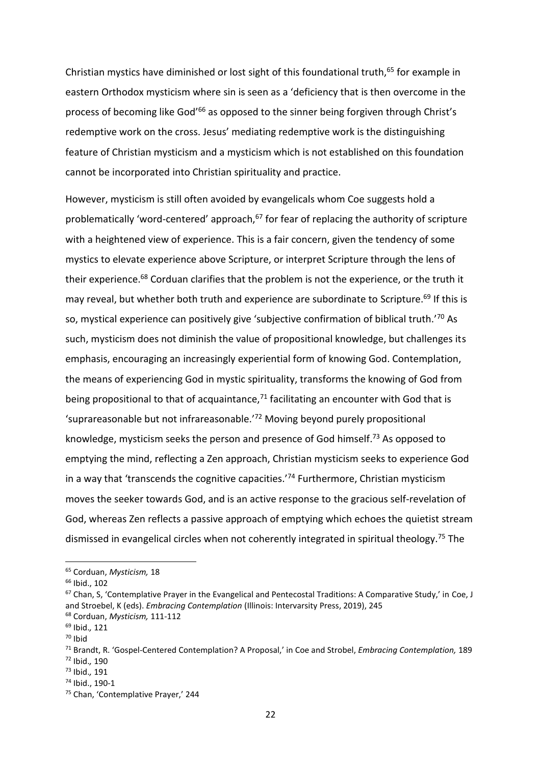Christian mystics have diminished or lost sight of this foundational truth,<sup>65</sup> for example in eastern Orthodox mysticism where sin is seen as a 'deficiency that is then overcome in the process of becoming like God<sup>'66</sup> as opposed to the sinner being forgiven through Christ's redemptive work on the cross. Jesus' mediating redemptive work is the distinguishing feature of Christian mysticism and a mysticism which is not established on this foundation cannot be incorporated into Christian spirituality and practice.

However, mysticism is still often avoided by evangelicals whom Coe suggests hold a problematically 'word-centered' approach, $67$  for fear of replacing the authority of scripture with a heightened view of experience. This is a fair concern, given the tendency of some mystics to elevate experience above Scripture, or interpret Scripture through the lens of their experience.<sup>68</sup> Corduan clarifies that the problem is not the experience, or the truth it may reveal, but whether both truth and experience are subordinate to Scripture.<sup>69</sup> If this is so, mystical experience can positively give 'subjective confirmation of biblical truth.'<sup>70</sup> As such, mysticism does not diminish the value of propositional knowledge, but challenges its emphasis, encouraging an increasingly experiential form of knowing God. Contemplation, the means of experiencing God in mystic spirituality, transforms the knowing of God from being propositional to that of acquaintance, $71$  facilitating an encounter with God that is 'suprareasonable but not infrareasonable.'<sup>72</sup> Moving beyond purely propositional knowledge, mysticism seeks the person and presence of God himself.<sup>73</sup> As opposed to emptying the mind, reflecting a Zen approach, Christian mysticism seeks to experience God in a way that 'transcends the cognitive capacities.'<sup>74</sup> Furthermore, Christian mysticism moves the seeker towards God, and is an active response to the gracious self-revelation of God, whereas Zen reflects a passive approach of emptying which echoes the quietist stream dismissed in evangelical circles when not coherently integrated in spiritual theology.<sup>75</sup> The

<sup>65</sup> Corduan, *Mysticism,* 18

<sup>66</sup> Ibid., 102

<sup>&</sup>lt;sup>67</sup> Chan, S, 'Contemplative Prayer in the Evangelical and Pentecostal Traditions: A Comparative Study,' in Coe, J and Stroebel, K (eds). *Embracing Contemplation* (Illinois: Intervarsity Press, 2019), 245

<sup>68</sup> Corduan, *Mysticism,* 111-112 <sup>69</sup> Ibid.*,* 121

 $70$  Ibid

<sup>71</sup> Brandt, R. 'Gospel-Centered Contemplation? A Proposal,' in Coe and Strobel, *Embracing Contemplation,* 189 <sup>72</sup> Ibid.*,* 190

<sup>73</sup> Ibid.*,* 191

<sup>74</sup> Ibid., 190-1

<sup>75</sup> Chan, 'Contemplative Prayer,' 244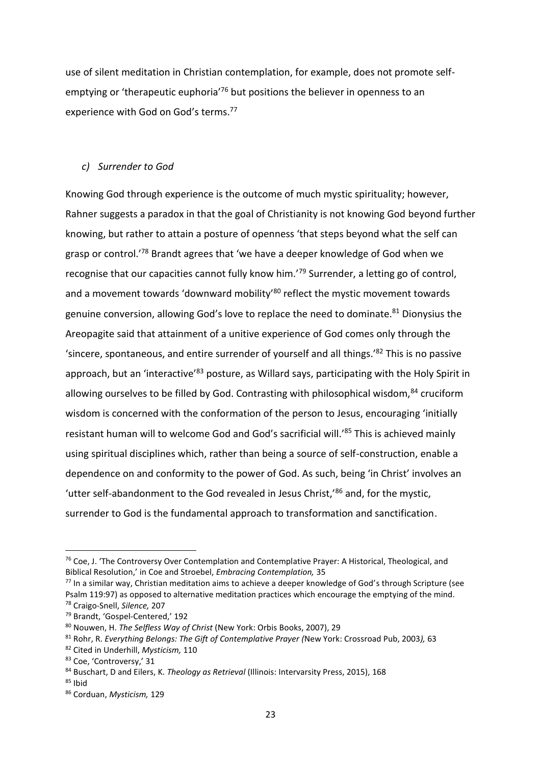use of silent meditation in Christian contemplation, for example, does not promote selfemptying or 'therapeutic euphoria'<sup>76</sup> but positions the believer in openness to an experience with God on God's terms.<sup>77</sup>

# *c) Surrender to God*

Knowing God through experience is the outcome of much mystic spirituality; however, Rahner suggests a paradox in that the goal of Christianity is not knowing God beyond further knowing, but rather to attain a posture of openness 'that steps beyond what the self can grasp or control.'<sup>78</sup> Brandt agrees that 'we have a deeper knowledge of God when we recognise that our capacities cannot fully know him.'<sup>79</sup> Surrender, a letting go of control, and a movement towards 'downward mobility'<sup>80</sup> reflect the mystic movement towards genuine conversion, allowing God's love to replace the need to dominate.<sup>81</sup> Dionysius the Areopagite said that attainment of a unitive experience of God comes only through the 'sincere, spontaneous, and entire surrender of yourself and all things.'<sup>82</sup> This is no passive approach, but an 'interactive'<sup>83</sup> posture, as Willard says, participating with the Holy Spirit in allowing ourselves to be filled by God. Contrasting with philosophical wisdom, 84 cruciform wisdom is concerned with the conformation of the person to Jesus, encouraging 'initially resistant human will to welcome God and God's sacrificial will.<sup>'85</sup> This is achieved mainly using spiritual disciplines which, rather than being a source of self-construction, enable a dependence on and conformity to the power of God. As such, being 'in Christ' involves an 'utter self-abandonment to the God revealed in Jesus Christ,'<sup>86</sup> and, for the mystic, surrender to God is the fundamental approach to transformation and sanctification.

<sup>76</sup> Coe, J. 'The Controversy Over Contemplation and Contemplative Prayer: A Historical, Theological, and Biblical Resolution,' in Coe and Stroebel, *Embracing Contemplation,* 35

<sup>77</sup> In a similar way, Christian meditation aims to achieve a deeper knowledge of God's through Scripture (see Psalm 119:97) as opposed to alternative meditation practices which encourage the emptying of the mind. <sup>78</sup> Craigo-Snell, *Silence,* 207

<sup>79</sup> Brandt, 'Gospel-Centered,' 192

<sup>80</sup> Nouwen, H. *The Selfless Way of Christ* (New York: Orbis Books, 2007), 29

<sup>81</sup> Rohr, R. *Everything Belongs: The Gift of Contemplative Prayer (*New York: Crossroad Pub, 2003*),* 63

<sup>82</sup> Cited in Underhill, *Mysticism,* 110

<sup>83</sup> Coe, 'Controversy,' 31

<sup>84</sup> Buschart, D and Eilers, K. *Theology as Retrieval* (Illinois: Intervarsity Press, 2015), 168

 $85$  Ibid

<sup>86</sup> Corduan, *Mysticism,* 129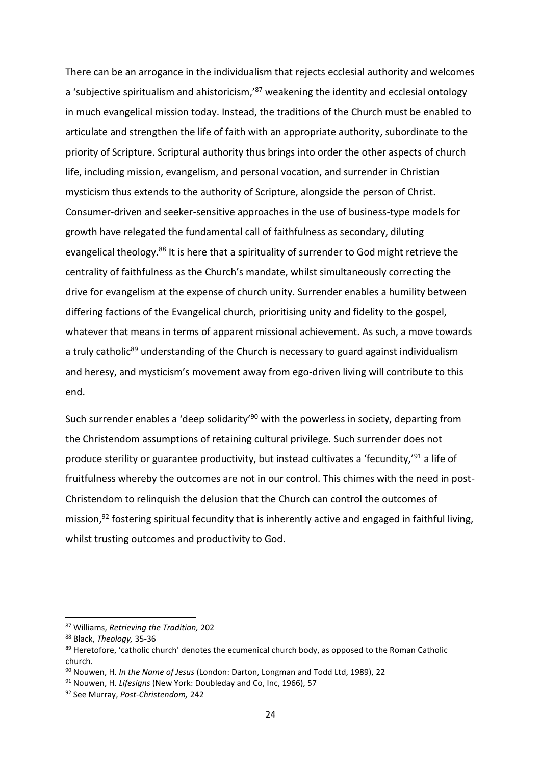There can be an arrogance in the individualism that rejects ecclesial authority and welcomes a 'subjective spiritualism and ahistoricism,<sup>187</sup> weakening the identity and ecclesial ontology in much evangelical mission today. Instead, the traditions of the Church must be enabled to articulate and strengthen the life of faith with an appropriate authority, subordinate to the priority of Scripture. Scriptural authority thus brings into order the other aspects of church life, including mission, evangelism, and personal vocation, and surrender in Christian mysticism thus extends to the authority of Scripture, alongside the person of Christ. Consumer-driven and seeker-sensitive approaches in the use of business-type models for growth have relegated the fundamental call of faithfulness as secondary, diluting evangelical theology.<sup>88</sup> It is here that a spirituality of surrender to God might retrieve the centrality of faithfulness as the Church's mandate, whilst simultaneously correcting the drive for evangelism at the expense of church unity. Surrender enables a humility between differing factions of the Evangelical church, prioritising unity and fidelity to the gospel, whatever that means in terms of apparent missional achievement. As such, a move towards a truly catholic<sup>89</sup> understanding of the Church is necessary to guard against individualism and heresy, and mysticism's movement away from ego-driven living will contribute to this end.

Such surrender enables a 'deep solidarity'<sup>90</sup> with the powerless in society, departing from the Christendom assumptions of retaining cultural privilege. Such surrender does not produce sterility or guarantee productivity, but instead cultivates a 'fecundity,'<sup>91</sup> a life of fruitfulness whereby the outcomes are not in our control. This chimes with the need in post-Christendom to relinquish the delusion that the Church can control the outcomes of mission, <sup>92</sup> fostering spiritual fecundity that is inherently active and engaged in faithful living, whilst trusting outcomes and productivity to God.

<sup>87</sup> Williams, *Retrieving the Tradition,* 202

<sup>88</sup> Black, *Theology,* 35-36

<sup>89</sup> Heretofore, 'catholic church' denotes the ecumenical church body, as opposed to the Roman Catholic church.

<sup>90</sup> Nouwen, H. *In the Name of Jesus* (London: Darton, Longman and Todd Ltd, 1989), 22

<sup>91</sup> Nouwen, H. *Lifesigns* (New York: Doubleday and Co, Inc, 1966), 57

<sup>92</sup> See Murray, *Post-Christendom,* 242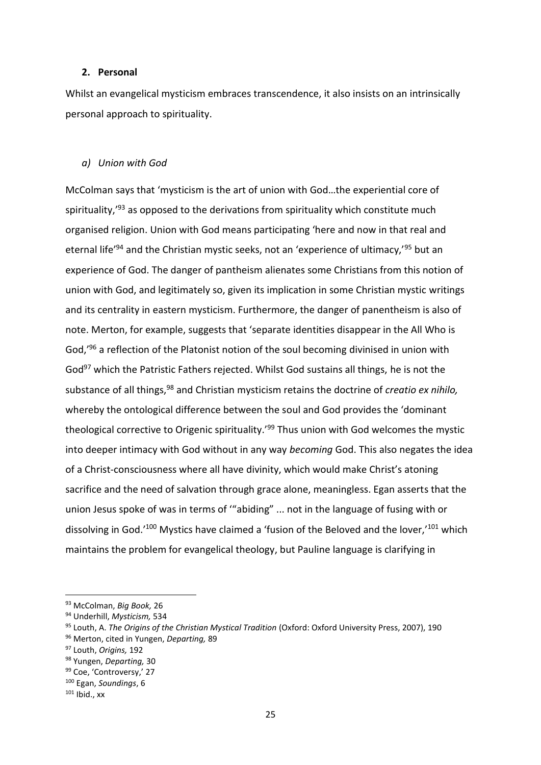#### **2. Personal**

Whilst an evangelical mysticism embraces transcendence, it also insists on an intrinsically personal approach to spirituality.

#### *a) Union with God*

McColman says that 'mysticism is the art of union with God…the experiential core of spirituality, $193$  as opposed to the derivations from spirituality which constitute much organised religion. Union with God means participating 'here and now in that real and eternal life<sup>'94</sup> and the Christian mystic seeks, not an 'experience of ultimacy,<sup>'95</sup> but an experience of God. The danger of pantheism alienates some Christians from this notion of union with God, and legitimately so, given its implication in some Christian mystic writings and its centrality in eastern mysticism. Furthermore, the danger of panentheism is also of note. Merton, for example, suggests that 'separate identities disappear in the All Who is God,'<sup>96</sup> a reflection of the Platonist notion of the soul becoming divinised in union with God<sup>97</sup> which the Patristic Fathers rejected. Whilst God sustains all things, he is not the substance of all things,<sup>98</sup> and Christian mysticism retains the doctrine of *creatio ex nihilo,*  whereby the ontological difference between the soul and God provides the 'dominant theological corrective to Origenic spirituality.<sup>199</sup> Thus union with God welcomes the mystic into deeper intimacy with God without in any way *becoming* God. This also negates the idea of a Christ-consciousness where all have divinity, which would make Christ's atoning sacrifice and the need of salvation through grace alone, meaningless. Egan asserts that the union Jesus spoke of was in terms of '"abiding" ... not in the language of fusing with or dissolving in God.<sup>'100</sup> Mystics have claimed a 'fusion of the Beloved and the lover,<sup>'101</sup> which maintains the problem for evangelical theology, but Pauline language is clarifying in

<sup>93</sup> McColman, *Big Book,* 26

<sup>94</sup> Underhill, *Mysticism,* 534

<sup>95</sup> Louth, A. *The Origins of the Christian Mystical Tradition* (Oxford: Oxford University Press, 2007), 190

<sup>96</sup> Merton, cited in Yungen, *Departing,* 89

<sup>97</sup> Louth, *Origins,* 192

<sup>98</sup> Yungen, *Departing,* 30

<sup>99</sup> Coe, 'Controversy,' 27

<sup>100</sup> Egan, *Soundings*, 6

 $101$  Ibid., xx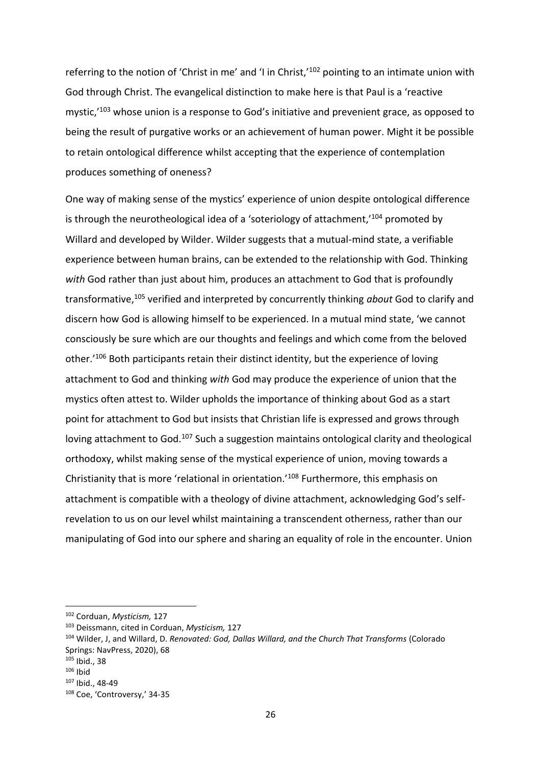referring to the notion of 'Christ in me' and 'I in Christ,'<sup>102</sup> pointing to an intimate union with God through Christ. The evangelical distinction to make here is that Paul is a 'reactive mystic,<sup>'103</sup> whose union is a response to God's initiative and prevenient grace, as opposed to being the result of purgative works or an achievement of human power. Might it be possible to retain ontological difference whilst accepting that the experience of contemplation produces something of oneness?

One way of making sense of the mystics' experience of union despite ontological difference is through the neurotheological idea of a 'soteriology of attachment,'<sup>104</sup> promoted by Willard and developed by Wilder. Wilder suggests that a mutual-mind state, a verifiable experience between human brains, can be extended to the relationship with God. Thinking *with* God rather than just about him, produces an attachment to God that is profoundly transformative,<sup>105</sup> verified and interpreted by concurrently thinking *about* God to clarify and discern how God is allowing himself to be experienced. In a mutual mind state, 'we cannot consciously be sure which are our thoughts and feelings and which come from the beloved other.'<sup>106</sup> Both participants retain their distinct identity, but the experience of loving attachment to God and thinking *with* God may produce the experience of union that the mystics often attest to. Wilder upholds the importance of thinking about God as a start point for attachment to God but insists that Christian life is expressed and grows through loving attachment to God.<sup>107</sup> Such a suggestion maintains ontological clarity and theological orthodoxy, whilst making sense of the mystical experience of union, moving towards a Christianity that is more 'relational in orientation.'<sup>108</sup> Furthermore, this emphasis on attachment is compatible with a theology of divine attachment, acknowledging God's selfrevelation to us on our level whilst maintaining a transcendent otherness, rather than our manipulating of God into our sphere and sharing an equality of role in the encounter. Union

<sup>102</sup> Corduan, *Mysticism,* 127

<sup>103</sup> Deissmann, cited in Corduan, *Mysticism,* 127

<sup>104</sup> Wilder, J, and Willard, D. *Renovated: God, Dallas Willard, and the Church That Transforms* (Colorado Springs: NavPress, 2020), 68

<sup>105</sup> Ibid., 38

 $106$  Ibid

<sup>107</sup> Ibid., 48-49

<sup>108</sup> Coe, 'Controversy,' 34-35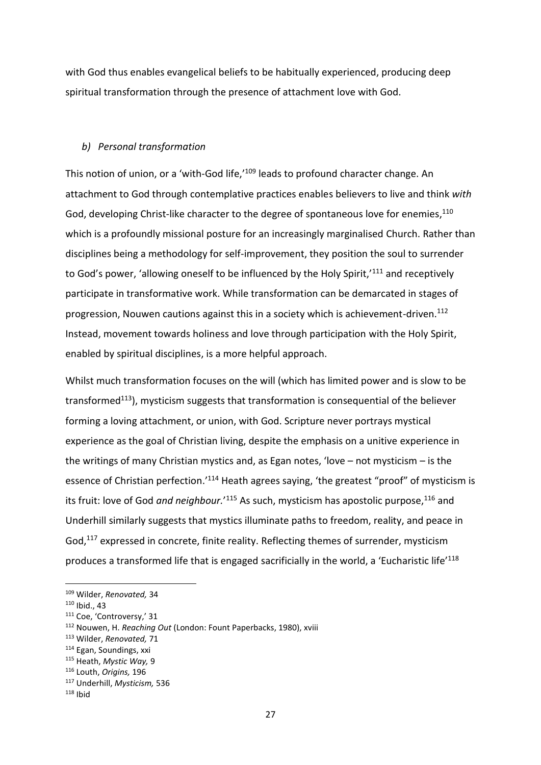with God thus enables evangelical beliefs to be habitually experienced, producing deep spiritual transformation through the presence of attachment love with God.

# *b) Personal transformation*

This notion of union, or a 'with-God life,'<sup>109</sup> leads to profound character change. An attachment to God through contemplative practices enables believers to live and think *with*  God, developing Christ-like character to the degree of spontaneous love for enemies,<sup>110</sup> which is a profoundly missional posture for an increasingly marginalised Church. Rather than disciplines being a methodology for self-improvement, they position the soul to surrender to God's power, 'allowing oneself to be influenced by the Holy Spirit,'<sup>111</sup> and receptively participate in transformative work. While transformation can be demarcated in stages of progression, Nouwen cautions against this in a society which is achievement-driven.<sup>112</sup> Instead, movement towards holiness and love through participation with the Holy Spirit, enabled by spiritual disciplines, is a more helpful approach.

Whilst much transformation focuses on the will (which has limited power and is slow to be transformed<sup>113</sup>), mysticism suggests that transformation is consequential of the believer forming a loving attachment, or union, with God. Scripture never portrays mystical experience as the goal of Christian living, despite the emphasis on a unitive experience in the writings of many Christian mystics and, as Egan notes, 'love – not mysticism – is the essence of Christian perfection.<sup>'114</sup> Heath agrees saying, 'the greatest "proof" of mysticism is its fruit: love of God *and neighbour.*'<sup>115</sup> As such, mysticism has apostolic purpose,<sup>116</sup> and Underhill similarly suggests that mystics illuminate paths to freedom, reality, and peace in God,<sup>117</sup> expressed in concrete, finite reality. Reflecting themes of surrender, mysticism produces a transformed life that is engaged sacrificially in the world, a 'Eucharistic life'<sup>118</sup>

<sup>109</sup> Wilder, *Renovated,* 34

 $110$  Ibid., 43

<sup>111</sup> Coe, 'Controversy,' 31

<sup>112</sup> Nouwen, H. *Reaching Out* (London: Fount Paperbacks, 1980), xviii

<sup>113</sup> Wilder, *Renovated,* 71

<sup>114</sup> Egan, Soundings, xxi

<sup>115</sup> Heath, *Mystic Way,* 9

<sup>116</sup> Louth, *Origins,* 196

<sup>117</sup> Underhill, *Mysticism,* 536

 $118$  Ibid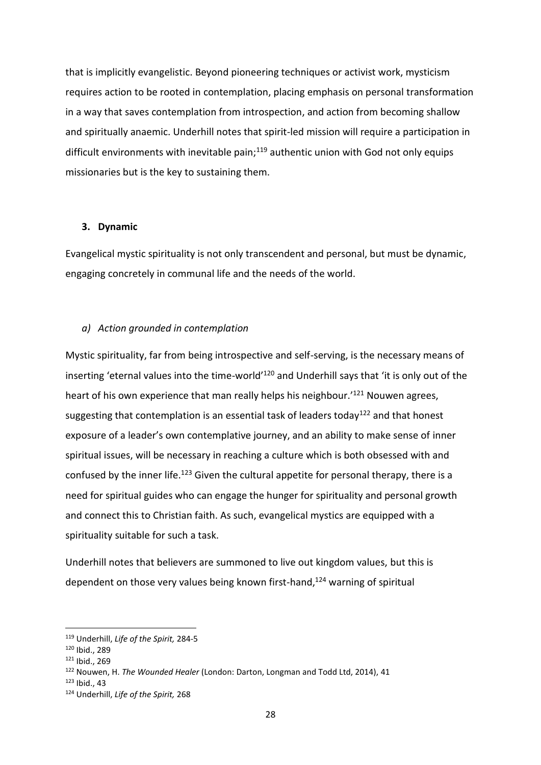that is implicitly evangelistic. Beyond pioneering techniques or activist work, mysticism requires action to be rooted in contemplation, placing emphasis on personal transformation in a way that saves contemplation from introspection, and action from becoming shallow and spiritually anaemic. Underhill notes that spirit-led mission will require a participation in difficult environments with inevitable pain; $119$  authentic union with God not only equips missionaries but is the key to sustaining them.

#### **3. Dynamic**

Evangelical mystic spirituality is not only transcendent and personal, but must be dynamic, engaging concretely in communal life and the needs of the world.

#### *a) Action grounded in contemplation*

Mystic spirituality, far from being introspective and self-serving, is the necessary means of inserting 'eternal values into the time-world'<sup>120</sup> and Underhill says that 'it is only out of the heart of his own experience that man really helps his neighbour.' <sup>121</sup> Nouwen agrees, suggesting that contemplation is an essential task of leaders today<sup>122</sup> and that honest exposure of a leader's own contemplative journey, and an ability to make sense of inner spiritual issues, will be necessary in reaching a culture which is both obsessed with and confused by the inner life.<sup>123</sup> Given the cultural appetite for personal therapy, there is a need for spiritual guides who can engage the hunger for spirituality and personal growth and connect this to Christian faith. As such, evangelical mystics are equipped with a spirituality suitable for such a task.

Underhill notes that believers are summoned to live out kingdom values, but this is dependent on those very values being known first-hand, <sup>124</sup> warning of spiritual

<sup>119</sup> Underhill, *Life of the Spirit,* 284-5

<sup>120</sup> Ibid., 289

<sup>121</sup> Ibid., 269

<sup>122</sup> Nouwen, H. *The Wounded Healer* (London: Darton, Longman and Todd Ltd, 2014), 41

 $123$  Ibid., 43

<sup>124</sup> Underhill, *Life of the Spirit,* 268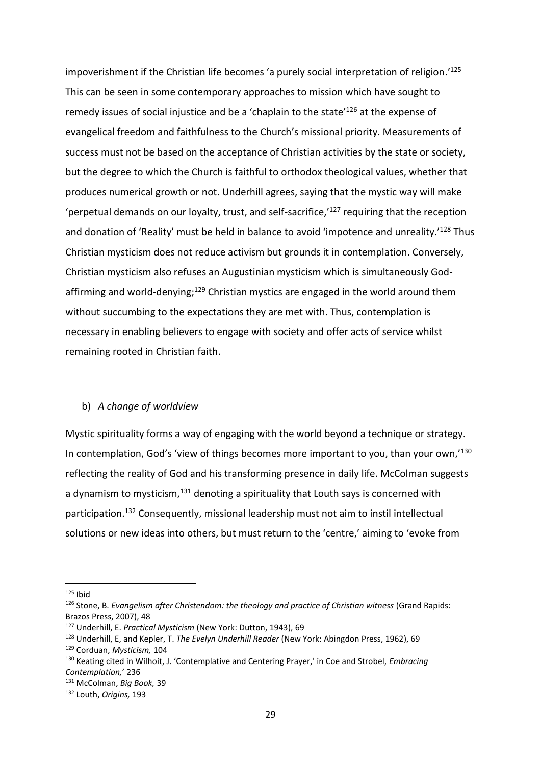impoverishment if the Christian life becomes 'a purely social interpretation of religion.' 125 This can be seen in some contemporary approaches to mission which have sought to remedy issues of social injustice and be a 'chaplain to the state'<sup>126</sup> at the expense of evangelical freedom and faithfulness to the Church's missional priority. Measurements of success must not be based on the acceptance of Christian activities by the state or society, but the degree to which the Church is faithful to orthodox theological values, whether that produces numerical growth or not. Underhill agrees, saying that the mystic way will make 'perpetual demands on our loyalty, trust, and self-sacrifice, $127$  requiring that the reception and donation of 'Reality' must be held in balance to avoid 'impotence and unreality.'<sup>128</sup> Thus Christian mysticism does not reduce activism but grounds it in contemplation. Conversely, Christian mysticism also refuses an Augustinian mysticism which is simultaneously Godaffirming and world-denying;<sup>129</sup> Christian mystics are engaged in the world around them without succumbing to the expectations they are met with. Thus, contemplation is necessary in enabling believers to engage with society and offer acts of service whilst remaining rooted in Christian faith.

# b) *A change of worldview*

Mystic spirituality forms a way of engaging with the world beyond a technique or strategy. In contemplation, God's 'view of things becomes more important to you, than your own,<sup>130</sup> reflecting the reality of God and his transforming presence in daily life. McColman suggests a dynamism to mysticism, $131$  denoting a spirituality that Louth says is concerned with participation. <sup>132</sup> Consequently, missional leadership must not aim to instil intellectual solutions or new ideas into others, but must return to the 'centre,' aiming to 'evoke from

 $125$  Ibid

<sup>126</sup> Stone, B. *Evangelism after Christendom: the theology and practice of Christian witness* (Grand Rapids: Brazos Press, 2007), 48

<sup>127</sup> Underhill, E. *Practical Mysticism* (New York: Dutton, 1943), 69

<sup>128</sup> Underhill, E, and Kepler, T. *The Evelyn Underhill Reader* (New York: Abingdon Press, 1962), 69

<sup>129</sup> Corduan, *Mysticism,* 104

<sup>130</sup> Keating cited in Wilhoit, J. 'Contemplative and Centering Prayer,' in Coe and Strobel, *Embracing Contemplation,*' 236

<sup>131</sup> McColman, *Big Book,* 39

<sup>132</sup> Louth, *Origins,* 193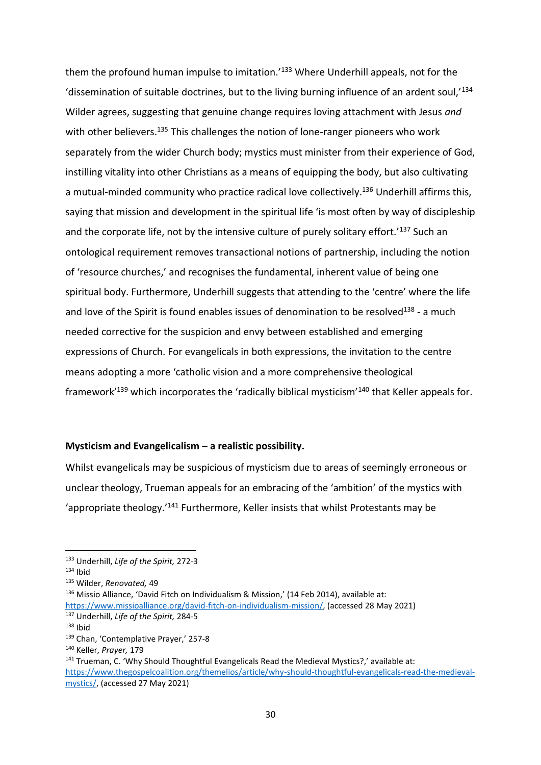them the profound human impulse to imitation.<sup>'133</sup> Where Underhill appeals, not for the 'dissemination of suitable doctrines, but to the living burning influence of an ardent soul,'<sup>134</sup> Wilder agrees, suggesting that genuine change requires loving attachment with Jesus *and*  with other believers.<sup>135</sup> This challenges the notion of lone-ranger pioneers who work separately from the wider Church body; mystics must minister from their experience of God, instilling vitality into other Christians as a means of equipping the body, but also cultivating a mutual-minded community who practice radical love collectively.<sup>136</sup> Underhill affirms this, saying that mission and development in the spiritual life 'is most often by way of discipleship and the corporate life, not by the intensive culture of purely solitary effort.<sup>137</sup> Such an ontological requirement removes transactional notions of partnership, including the notion of 'resource churches,' and recognises the fundamental, inherent value of being one spiritual body. Furthermore, Underhill suggests that attending to the 'centre' where the life and love of the Spirit is found enables issues of denomination to be resolved<sup>138</sup> - a much needed corrective for the suspicion and envy between established and emerging expressions of Church. For evangelicals in both expressions, the invitation to the centre means adopting a more 'catholic vision and a more comprehensive theological framework'<sup>139</sup> which incorporates the 'radically biblical mysticism'<sup>140</sup> that Keller appeals for.

#### **Mysticism and Evangelicalism – a realistic possibility.**

Whilst evangelicals may be suspicious of mysticism due to areas of seemingly erroneous or unclear theology, Trueman appeals for an embracing of the 'ambition' of the mystics with 'appropriate theology.'<sup>141</sup> Furthermore, Keller insists that whilst Protestants may be

<sup>133</sup> Underhill, *Life of the Spirit,* 272-3

 $134$  Ibid

<sup>135</sup> Wilder, *Renovated,* 49

 $136$  Missio Alliance, 'David Fitch on Individualism & Mission,' (14 Feb 2014), available at:

[https://www.missioalliance.org/david-fitch-on-individualism-mission/,](https://www.missioalliance.org/david-fitch-on-individualism-mission/) (accessed 28 May 2021) <sup>137</sup> Underhill, *Life of the Spirit,* 284-5

 $138$  Ibid

<sup>139</sup> Chan, 'Contemplative Prayer,' 257-8

<sup>140</sup> Keller, *Prayer,* 179

<sup>&</sup>lt;sup>141</sup> Trueman, C. 'Why Should Thoughtful Evangelicals Read the Medieval Mystics?,' available at: [https://www.thegospelcoalition.org/themelios/article/why-should-thoughtful-evangelicals-read-the-medieval](https://www.thegospelcoalition.org/themelios/article/why-should-thoughtful-evangelicals-read-the-medieval-mystics/)[mystics/,](https://www.thegospelcoalition.org/themelios/article/why-should-thoughtful-evangelicals-read-the-medieval-mystics/) (accessed 27 May 2021)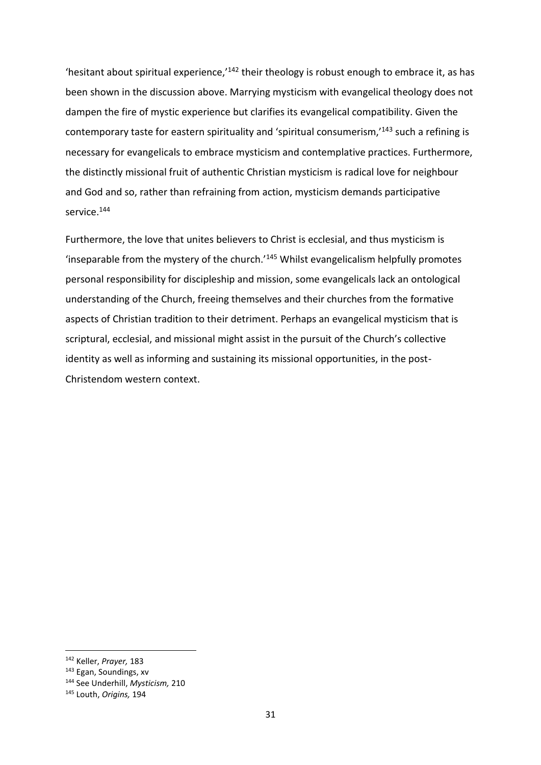'hesitant about spiritual experience, $142$  their theology is robust enough to embrace it, as has been shown in the discussion above. Marrying mysticism with evangelical theology does not dampen the fire of mystic experience but clarifies its evangelical compatibility. Given the contemporary taste for eastern spirituality and 'spiritual consumerism,'<sup>143</sup> such a refining is necessary for evangelicals to embrace mysticism and contemplative practices. Furthermore, the distinctly missional fruit of authentic Christian mysticism is radical love for neighbour and God and so, rather than refraining from action, mysticism demands participative service. 144

Furthermore, the love that unites believers to Christ is ecclesial, and thus mysticism is 'inseparable from the mystery of the church.'<sup>145</sup> Whilst evangelicalism helpfully promotes personal responsibility for discipleship and mission, some evangelicals lack an ontological understanding of the Church, freeing themselves and their churches from the formative aspects of Christian tradition to their detriment. Perhaps an evangelical mysticism that is scriptural, ecclesial, and missional might assist in the pursuit of the Church's collective identity as well as informing and sustaining its missional opportunities, in the post-Christendom western context.

<sup>142</sup> Keller, *Prayer,* 183

<sup>143</sup> Egan, Soundings, xv

<sup>144</sup> See Underhill, *Mysticism,* 210

<sup>145</sup> Louth, *Origins,* 194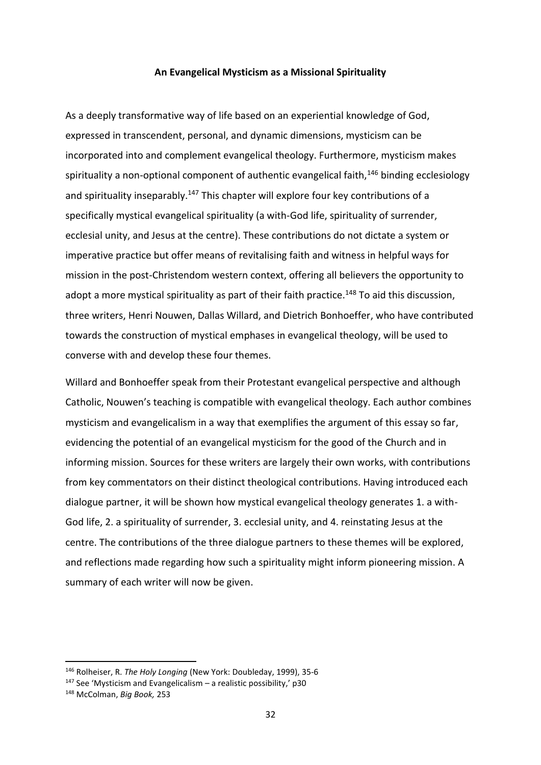#### **An Evangelical Mysticism as a Missional Spirituality**

As a deeply transformative way of life based on an experiential knowledge of God, expressed in transcendent, personal, and dynamic dimensions, mysticism can be incorporated into and complement evangelical theology. Furthermore, mysticism makes spirituality a non-optional component of authentic evangelical faith,<sup>146</sup> binding ecclesiology and spirituality inseparably.<sup>147</sup> This chapter will explore four key contributions of a specifically mystical evangelical spirituality (a with-God life, spirituality of surrender, ecclesial unity, and Jesus at the centre). These contributions do not dictate a system or imperative practice but offer means of revitalising faith and witness in helpful ways for mission in the post-Christendom western context, offering all believers the opportunity to adopt a more mystical spirituality as part of their faith practice.<sup>148</sup> To aid this discussion, three writers, Henri Nouwen, Dallas Willard, and Dietrich Bonhoeffer, who have contributed towards the construction of mystical emphases in evangelical theology, will be used to converse with and develop these four themes.

Willard and Bonhoeffer speak from their Protestant evangelical perspective and although Catholic, Nouwen's teaching is compatible with evangelical theology. Each author combines mysticism and evangelicalism in a way that exemplifies the argument of this essay so far, evidencing the potential of an evangelical mysticism for the good of the Church and in informing mission. Sources for these writers are largely their own works, with contributions from key commentators on their distinct theological contributions. Having introduced each dialogue partner, it will be shown how mystical evangelical theology generates 1. a with-God life, 2. a spirituality of surrender, 3. ecclesial unity, and 4. reinstating Jesus at the centre. The contributions of the three dialogue partners to these themes will be explored, and reflections made regarding how such a spirituality might inform pioneering mission. A summary of each writer will now be given.

<sup>146</sup> Rolheiser, R. *The Holy Longing* (New York: Doubleday, 1999), 35-6

 $147$  See 'Mysticism and Evangelicalism – a realistic possibility,' p30

<sup>148</sup> McColman, *Big Book,* 253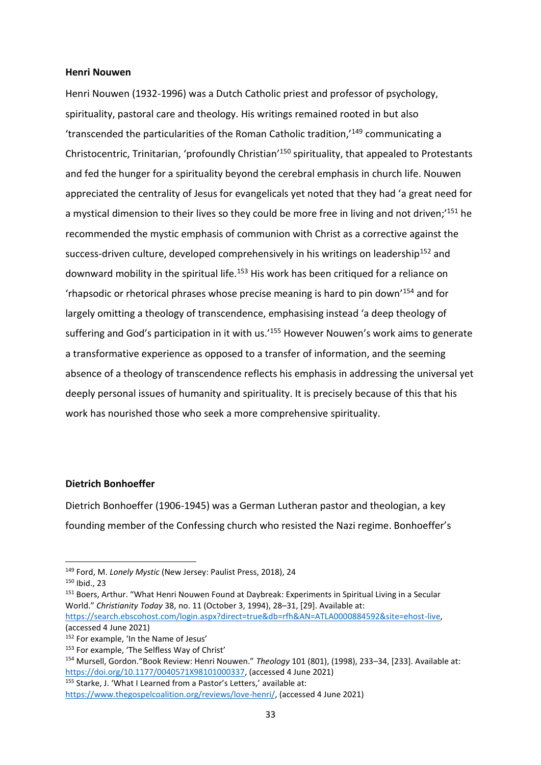#### **Henri Nouwen**

Henri Nouwen (1932-1996) was a Dutch Catholic priest and professor of psychology, spirituality, pastoral care and theology. His writings remained rooted in but also 'transcended the particularities of the Roman Catholic tradition,'<sup>149</sup> communicating a Christocentric, Trinitarian, 'profoundly Christian'<sup>150</sup> spirituality, that appealed to Protestants and fed the hunger for a spirituality beyond the cerebral emphasis in church life. Nouwen appreciated the centrality of Jesus for evangelicals yet noted that they had 'a great need for a mystical dimension to their lives so they could be more free in living and not driven;<sup>151</sup> he recommended the mystic emphasis of communion with Christ as a corrective against the success-driven culture, developed comprehensively in his writings on leadership<sup>152</sup> and downward mobility in the spiritual life.<sup>153</sup> His work has been critiqued for a reliance on 'rhapsodic or rhetorical phrases whose precise meaning is hard to pin down'<sup>154</sup> and for largely omitting a theology of transcendence, emphasising instead 'a deep theology of suffering and God's participation in it with us.<sup>'155</sup> However Nouwen's work aims to generate a transformative experience as opposed to a transfer of information, and the seeming absence of a theology of transcendence reflects his emphasis in addressing the universal yet deeply personal issues of humanity and spirituality. It is precisely because of this that his work has nourished those who seek a more comprehensive spirituality.

# **Dietrich Bonhoeffer**

Dietrich Bonhoeffer (1906-1945) was a German Lutheran pastor and theologian, a key founding member of the Confessing church who resisted the Nazi regime. Bonhoeffer's

<sup>155</sup> Starke, J. 'What I Learned from a Pastor's Letters,' available at:

<sup>149</sup> Ford, M. *Lonely Mystic* (New Jersey: Paulist Press, 2018), 24

<sup>150</sup> Ibid., 23

<sup>151</sup> Boers, Arthur. "What Henri Nouwen Found at Daybreak: Experiments in Spiritual Living in a Secular World." *Christianity Today* 38, no. 11 (October 3, 1994), 28–31, [29]. Available at: [https://search.ebscohost.com/login.aspx?direct=true&db=rfh&AN=ATLA0000884592&site=ehost-live,](https://search.ebscohost.com/login.aspx?direct=true&db=rfh&AN=ATLA0000884592&site=ehost-live)

<sup>(</sup>accessed 4 June 2021)

<sup>152</sup> For example, 'In the Name of Jesus'

<sup>&</sup>lt;sup>153</sup> For example, 'The Selfless Way of Christ'

<sup>154</sup> Mursell, Gordon."Book Review: Henri Nouwen." *Theology* 101 (801), (1998), 233–34, [233]. Available at: [https://doi.org/10.1177/0040571X98101000337,](https://doi.org/10.1177/0040571X98101000337) (accessed 4 June 2021)

[https://www.thegospelcoalition.org/reviews/love-henri/,](https://www.thegospelcoalition.org/reviews/love-henri/) (accessed 4 June 2021)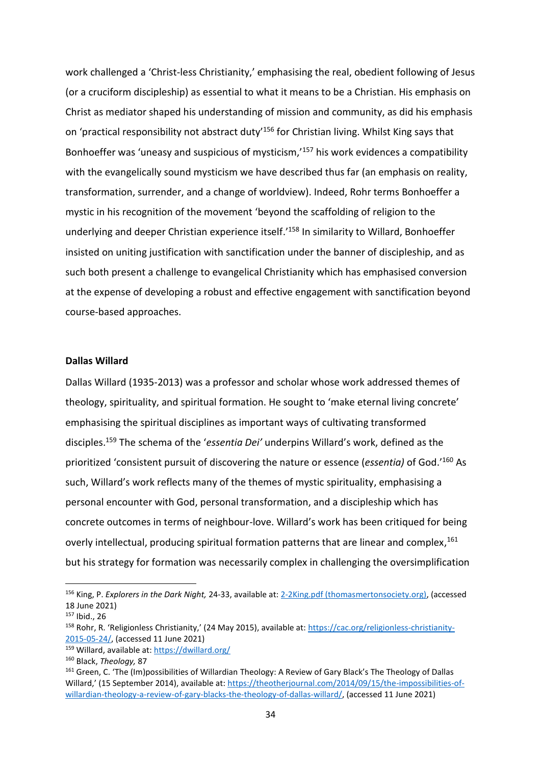work challenged a 'Christ-less Christianity,' emphasising the real, obedient following of Jesus (or a cruciform discipleship) as essential to what it means to be a Christian. His emphasis on Christ as mediator shaped his understanding of mission and community, as did his emphasis on 'practical responsibility not abstract duty'<sup>156</sup> for Christian living. Whilst King says that Bonhoeffer was 'uneasy and suspicious of mysticism,'<sup>157</sup> his work evidences a compatibility with the evangelically sound mysticism we have described thus far (an emphasis on reality, transformation, surrender, and a change of worldview). Indeed, Rohr terms Bonhoeffer a mystic in his recognition of the movement 'beyond the scaffolding of religion to the underlying and deeper Christian experience itself.<sup>'158</sup> In similarity to Willard, Bonhoeffer insisted on uniting justification with sanctification under the banner of discipleship, and as such both present a challenge to evangelical Christianity which has emphasised conversion at the expense of developing a robust and effective engagement with sanctification beyond course-based approaches.

#### **Dallas Willard**

Dallas Willard (1935-2013) was a professor and scholar whose work addressed themes of theology, spirituality, and spiritual formation. He sought to 'make eternal living concrete' emphasising the spiritual disciplines as important ways of cultivating transformed disciples.<sup>159</sup> The schema of the '*essentia Dei'* underpins Willard's work, defined as the prioritized 'consistent pursuit of discovering the nature or essence (*essentia)* of God.'<sup>160</sup> As such, Willard's work reflects many of the themes of mystic spirituality, emphasising a personal encounter with God, personal transformation, and a discipleship which has concrete outcomes in terms of neighbour-love. Willard's work has been critiqued for being overly intellectual, producing spiritual formation patterns that are linear and complex,<sup>161</sup> but his strategy for formation was necessarily complex in challenging the oversimplification

<sup>156</sup> King, P. *Explorers in the Dark Night,* 24-33, available at: [2-2King.pdf \(thomasmertonsociety.org\),](http://www.thomasmertonsociety.org/Journal/02/2-2King.pdf) (accessed 18 June 2021)

<sup>157</sup> Ibid., 26

<sup>158</sup> Rohr, R. 'Religionless Christianity,' (24 May 2015), available at: [https://cac.org/religionless-christianity-](https://cac.org/religionless-christianity-2015-05-24/)[2015-05-24/,](https://cac.org/religionless-christianity-2015-05-24/) (accessed 11 June 2021)

<sup>159</sup> Willard, available at[: https://dwillard.org/](https://dwillard.org/)

<sup>160</sup> Black, *Theology,* 87

<sup>161</sup> Green, C. 'The (Im)possibilities of Willardian Theology: A Review of Gary Black's The Theology of Dallas Willard,' (15 September 2014), available at: [https://theotherjournal.com/2014/09/15/the-impossibilities-of](https://theotherjournal.com/2014/09/15/the-impossibilities-of-willardian-theology-a-review-of-gary-blacks-the-theology-of-dallas-willard/)[willardian-theology-a-review-of-gary-blacks-the-theology-of-dallas-willard/,](https://theotherjournal.com/2014/09/15/the-impossibilities-of-willardian-theology-a-review-of-gary-blacks-the-theology-of-dallas-willard/) (accessed 11 June 2021)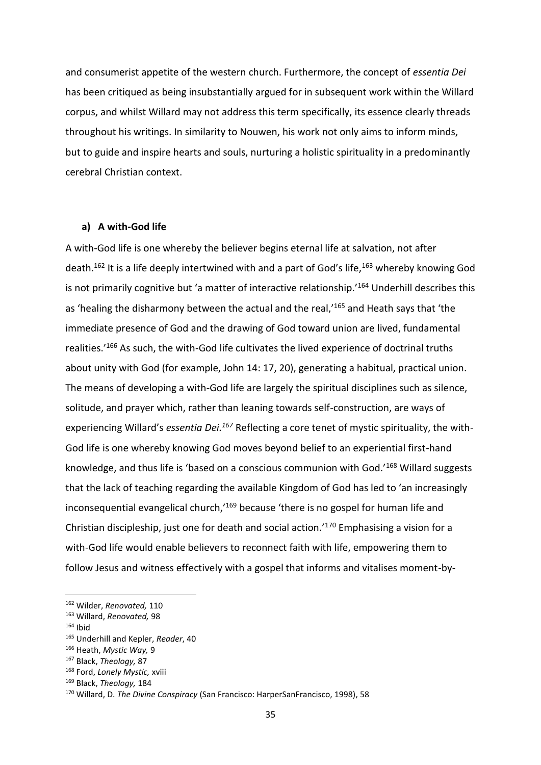and consumerist appetite of the western church. Furthermore, the concept of *essentia Dei* has been critiqued as being insubstantially argued for in subsequent work within the Willard corpus, and whilst Willard may not address this term specifically, its essence clearly threads throughout his writings. In similarity to Nouwen, his work not only aims to inform minds, but to guide and inspire hearts and souls, nurturing a holistic spirituality in a predominantly cerebral Christian context.

#### **a) A with-God life**

A with-God life is one whereby the believer begins eternal life at salvation, not after death.<sup>162</sup> It is a life deeply intertwined with and a part of God's life,<sup>163</sup> whereby knowing God is not primarily cognitive but 'a matter of interactive relationship.'<sup>164</sup> Underhill describes this as 'healing the disharmony between the actual and the real,'<sup>165</sup> and Heath says that 'the immediate presence of God and the drawing of God toward union are lived, fundamental realities.'<sup>166</sup> As such, the with-God life cultivates the lived experience of doctrinal truths about unity with God (for example, John 14: 17, 20), generating a habitual, practical union. The means of developing a with-God life are largely the spiritual disciplines such as silence, solitude, and prayer which, rather than leaning towards self-construction, are ways of experiencing Willard's *essentia Dei.<sup>167</sup>* Reflecting a core tenet of mystic spirituality, the with-God life is one whereby knowing God moves beyond belief to an experiential first-hand knowledge, and thus life is 'based on a conscious communion with God.'<sup>168</sup> Willard suggests that the lack of teaching regarding the available Kingdom of God has led to 'an increasingly inconsequential evangelical church,<sup>169</sup> because 'there is no gospel for human life and Christian discipleship, just one for death and social action.'<sup>170</sup> Emphasising a vision for a with-God life would enable believers to reconnect faith with life, empowering them to follow Jesus and witness effectively with a gospel that informs and vitalises moment-by-

<sup>162</sup> Wilder, *Renovated,* 110

<sup>163</sup> Willard, *Renovated,* 98

 $164$  Ibid

<sup>165</sup> Underhill and Kepler, *Reader*, 40

<sup>166</sup> Heath, *Mystic Way,* 9

<sup>167</sup> Black, *Theology,* 87

<sup>168</sup> Ford, *Lonely Mystic,* xviii

<sup>169</sup> Black, *Theology,* 184

<sup>170</sup> Willard, D. *The Divine Conspiracy* (San Francisco: HarperSanFrancisco, 1998), 58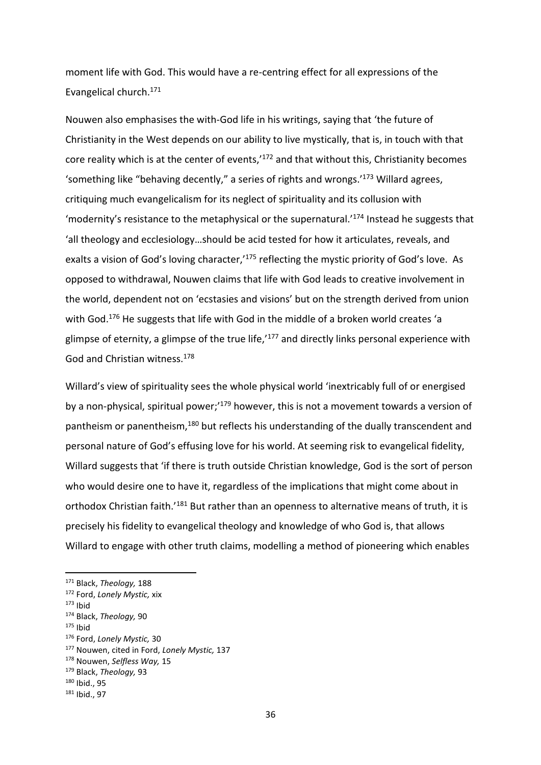moment life with God. This would have a re-centring effect for all expressions of the Evangelical church.<sup>171</sup>

Nouwen also emphasises the with-God life in his writings, saying that 'the future of Christianity in the West depends on our ability to live mystically, that is, in touch with that core reality which is at the center of events,<sup>172</sup> and that without this, Christianity becomes 'something like "behaving decently," a series of rights and wrongs.'<sup>173</sup> Willard agrees, critiquing much evangelicalism for its neglect of spirituality and its collusion with 'modernity's resistance to the metaphysical or the supernatural.'<sup>174</sup> Instead he suggests that 'all theology and ecclesiology…should be acid tested for how it articulates, reveals, and exalts a vision of God's loving character,<sup>175</sup> reflecting the mystic priority of God's love. As opposed to withdrawal, Nouwen claims that life with God leads to creative involvement in the world, dependent not on 'ecstasies and visions' but on the strength derived from union with God.<sup>176</sup> He suggests that life with God in the middle of a broken world creates 'a glimpse of eternity, a glimpse of the true life, $177$  and directly links personal experience with God and Christian witness.<sup>178</sup>

Willard's view of spirituality sees the whole physical world 'inextricably full of or energised by a non-physical, spiritual power;'<sup>179</sup> however, this is not a movement towards a version of pantheism or panentheism,<sup>180</sup> but reflects his understanding of the dually transcendent and personal nature of God's effusing love for his world. At seeming risk to evangelical fidelity, Willard suggests that 'if there is truth outside Christian knowledge, God is the sort of person who would desire one to have it, regardless of the implications that might come about in orthodox Christian faith.<sup>'181</sup> But rather than an openness to alternative means of truth, it is precisely his fidelity to evangelical theology and knowledge of who God is, that allows Willard to engage with other truth claims, modelling a method of pioneering which enables

 $175$  Ibid

<sup>171</sup> Black, *Theology,* 188

<sup>172</sup> Ford, *Lonely Mystic,* xix

 $173$  Ibid

<sup>174</sup> Black, *Theology,* 90

<sup>176</sup> Ford, *Lonely Mystic,* 30

<sup>177</sup> Nouwen, cited in Ford, *Lonely Mystic,* 137

<sup>178</sup> Nouwen, *Selfless Way,* 15

<sup>179</sup> Black, *Theology,* 93

<sup>180</sup> Ibid., 95

<sup>181</sup> Ibid., 97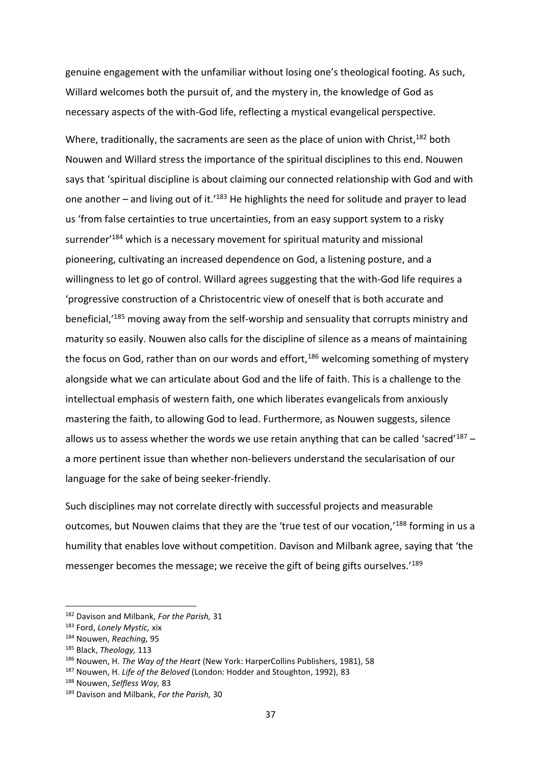genuine engagement with the unfamiliar without losing one's theological footing. As such, Willard welcomes both the pursuit of, and the mystery in, the knowledge of God as necessary aspects of the with-God life, reflecting a mystical evangelical perspective.

Where, traditionally, the sacraments are seen as the place of union with Christ,<sup>182</sup> both Nouwen and Willard stress the importance of the spiritual disciplines to this end. Nouwen says that 'spiritual discipline is about claiming our connected relationship with God and with one another – and living out of it.'<sup>183</sup> He highlights the need for solitude and prayer to lead us 'from false certainties to true uncertainties, from an easy support system to a risky surrender<sup>'184</sup> which is a necessary movement for spiritual maturity and missional pioneering, cultivating an increased dependence on God, a listening posture, and a willingness to let go of control. Willard agrees suggesting that the with-God life requires a 'progressive construction of a Christocentric view of oneself that is both accurate and beneficial,<sup>'185</sup> moving away from the self-worship and sensuality that corrupts ministry and maturity so easily. Nouwen also calls for the discipline of silence as a means of maintaining the focus on God, rather than on our words and effort,<sup>186</sup> welcoming something of mystery alongside what we can articulate about God and the life of faith. This is a challenge to the intellectual emphasis of western faith, one which liberates evangelicals from anxiously mastering the faith, to allowing God to lead. Furthermore, as Nouwen suggests, silence allows us to assess whether the words we use retain anything that can be called 'sacred'<sup>187</sup> – a more pertinent issue than whether non-believers understand the secularisation of our language for the sake of being seeker-friendly.

Such disciplines may not correlate directly with successful projects and measurable outcomes, but Nouwen claims that they are the 'true test of our vocation,'<sup>188</sup> forming in us a humility that enables love without competition. Davison and Milbank agree, saying that 'the messenger becomes the message; we receive the gift of being gifts ourselves.'<sup>189</sup>

<sup>182</sup> Davison and Milbank, *For the Parish,* 31

<sup>183</sup> Ford, *Lonely Mystic,* xix

<sup>184</sup> Nouwen, *Reaching,* 95

<sup>185</sup> Black, *Theology,* 113

<sup>186</sup> Nouwen, H. *The Way of the Heart* (New York: HarperCollins Publishers, 1981), 58

<sup>187</sup> Nouwen, H. *Life of the Beloved* (London: Hodder and Stoughton, 1992), 83

<sup>188</sup> Nouwen, *Selfless Way,* 83

<sup>189</sup> Davison and Milbank, *For the Parish,* 30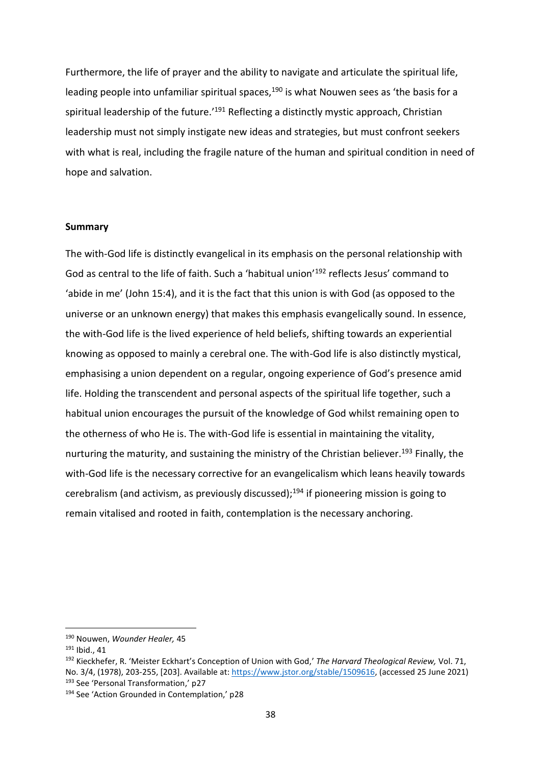Furthermore, the life of prayer and the ability to navigate and articulate the spiritual life, leading people into unfamiliar spiritual spaces,<sup>190</sup> is what Nouwen sees as 'the basis for a spiritual leadership of the future.<sup>'191</sup> Reflecting a distinctly mystic approach, Christian leadership must not simply instigate new ideas and strategies, but must confront seekers with what is real, including the fragile nature of the human and spiritual condition in need of hope and salvation.

#### **Summary**

The with-God life is distinctly evangelical in its emphasis on the personal relationship with God as central to the life of faith. Such a 'habitual union'<sup>192</sup> reflects Jesus' command to 'abide in me' (John 15:4), and it is the fact that this union is with God (as opposed to the universe or an unknown energy) that makes this emphasis evangelically sound. In essence, the with-God life is the lived experience of held beliefs, shifting towards an experiential knowing as opposed to mainly a cerebral one. The with-God life is also distinctly mystical, emphasising a union dependent on a regular, ongoing experience of God's presence amid life. Holding the transcendent and personal aspects of the spiritual life together, such a habitual union encourages the pursuit of the knowledge of God whilst remaining open to the otherness of who He is. The with-God life is essential in maintaining the vitality, nurturing the maturity, and sustaining the ministry of the Christian believer.<sup>193</sup> Finally, the with-God life is the necessary corrective for an evangelicalism which leans heavily towards cerebralism (and activism, as previously discussed);<sup>194</sup> if pioneering mission is going to remain vitalised and rooted in faith, contemplation is the necessary anchoring.

<sup>190</sup> Nouwen, *Wounder Healer,* 45

<sup>191</sup> Ibid., 41

<sup>192</sup> Kieckhefer, R. 'Meister Eckhart's Conception of Union with God,' *The Harvard Theological Review,* Vol. 71, No. 3/4, (1978), 203-255, [203]. Available at: [https://www.jstor.org/stable/1509616,](https://www.jstor.org/stable/1509616) (accessed 25 June 2021) <sup>193</sup> See 'Personal Transformation,' p27

<sup>194</sup> See 'Action Grounded in Contemplation,' p28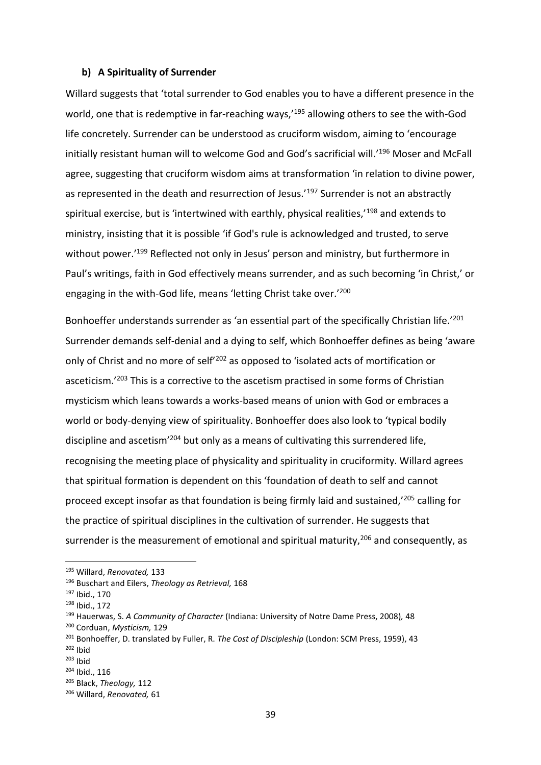#### **b) A Spirituality of Surrender**

Willard suggests that 'total surrender to God enables you to have a different presence in the world, one that is redemptive in far-reaching ways,<sup>195</sup> allowing others to see the with-God life concretely. Surrender can be understood as cruciform wisdom, aiming to 'encourage initially resistant human will to welcome God and God's sacrificial will.<sup>'196</sup> Moser and McFall agree, suggesting that cruciform wisdom aims at transformation 'in relation to divine power, as represented in the death and resurrection of Jesus.<sup>'197</sup> Surrender is not an abstractly spiritual exercise, but is 'intertwined with earthly, physical realities,'<sup>198</sup> and extends to ministry, insisting that it is possible 'if God's rule is acknowledged and trusted, to serve without power.<sup>199</sup> Reflected not only in Jesus' person and ministry, but furthermore in Paul's writings, faith in God effectively means surrender, and as such becoming 'in Christ,' or engaging in the with-God life, means 'letting Christ take over.'<sup>200</sup>

Bonhoeffer understands surrender as 'an essential part of the specifically Christian life.'<sup>201</sup> Surrender demands self-denial and a dying to self, which Bonhoeffer defines as being 'aware only of Christ and no more of self'<sup>202</sup> as opposed to 'isolated acts of mortification or asceticism.<sup>'203</sup> This is a corrective to the ascetism practised in some forms of Christian mysticism which leans towards a works-based means of union with God or embraces a world or body-denying view of spirituality. Bonhoeffer does also look to 'typical bodily discipline and ascetism'<sup>204</sup> but only as a means of cultivating this surrendered life, recognising the meeting place of physicality and spirituality in cruciformity. Willard agrees that spiritual formation is dependent on this 'foundation of death to self and cannot proceed except insofar as that foundation is being firmly laid and sustained,'<sup>205</sup> calling for the practice of spiritual disciplines in the cultivation of surrender. He suggests that surrender is the measurement of emotional and spiritual maturity, $206$  and consequently, as

 $202$  Ibid

<sup>195</sup> Willard, *Renovated,* 133

<sup>196</sup> Buschart and Eilers, *Theology as Retrieval,* 168

<sup>197</sup> Ibid., 170

<sup>198</sup> Ibid., 172

<sup>199</sup> Hauerwas, S. *A Community of Character* (Indiana: University of Notre Dame Press, 2008)*,* 48

<sup>200</sup> Corduan, *Mysticism,* 129

<sup>201</sup> Bonhoeffer, D. translated by Fuller, R. *The Cost of Discipleship* (London: SCM Press, 1959), 43

 $203$  Ibid

<sup>204</sup> Ibid., 116

<sup>205</sup> Black, *Theology,* 112

<sup>206</sup> Willard, *Renovated,* 61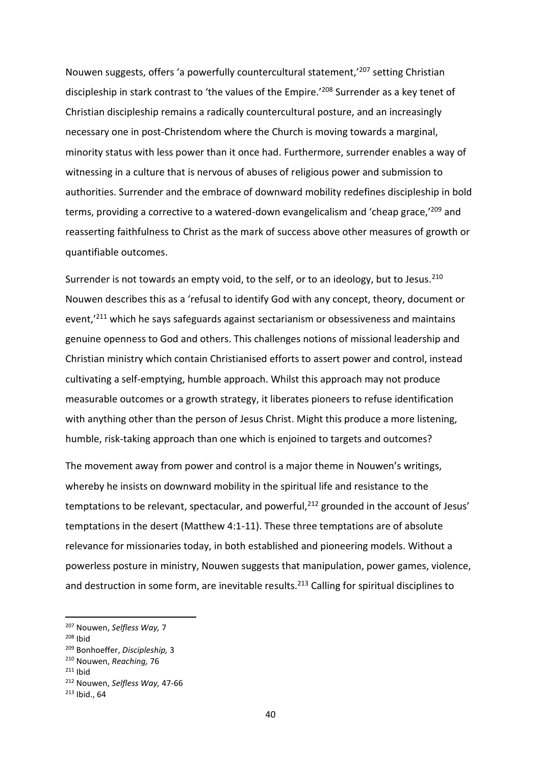Nouwen suggests, offers 'a powerfully countercultural statement,'<sup>207</sup> setting Christian discipleship in stark contrast to 'the values of the Empire.'<sup>208</sup> Surrender as a key tenet of Christian discipleship remains a radically countercultural posture, and an increasingly necessary one in post-Christendom where the Church is moving towards a marginal, minority status with less power than it once had. Furthermore, surrender enables a way of witnessing in a culture that is nervous of abuses of religious power and submission to authorities. Surrender and the embrace of downward mobility redefines discipleship in bold terms, providing a corrective to a watered-down evangelicalism and 'cheap grace,<sup>'209</sup> and reasserting faithfulness to Christ as the mark of success above other measures of growth or quantifiable outcomes.

Surrender is not towards an empty void, to the self, or to an ideology, but to Jesus. $^{210}$ Nouwen describes this as a 'refusal to identify God with any concept, theory, document or event,<sup>'211</sup> which he says safeguards against sectarianism or obsessiveness and maintains genuine openness to God and others. This challenges notions of missional leadership and Christian ministry which contain Christianised efforts to assert power and control, instead cultivating a self-emptying, humble approach. Whilst this approach may not produce measurable outcomes or a growth strategy, it liberates pioneers to refuse identification with anything other than the person of Jesus Christ. Might this produce a more listening, humble, risk-taking approach than one which is enjoined to targets and outcomes?

The movement away from power and control is a major theme in Nouwen's writings, whereby he insists on downward mobility in the spiritual life and resistance to the temptations to be relevant, spectacular, and powerful, $^{212}$  grounded in the account of Jesus' temptations in the desert (Matthew 4:1-11). These three temptations are of absolute relevance for missionaries today, in both established and pioneering models. Without a powerless posture in ministry, Nouwen suggests that manipulation, power games, violence, and destruction in some form, are inevitable results.<sup>213</sup> Calling for spiritual disciplines to

<sup>207</sup> Nouwen, *Selfless Way,* 7

<sup>208</sup> Ibid

<sup>209</sup> Bonhoeffer, *Discipleship,* 3

<sup>210</sup> Nouwen, *Reaching,* 76

 $211$  Ibid

<sup>212</sup> Nouwen, *Selfless Way,* 47-66

<sup>213</sup> Ibid., 64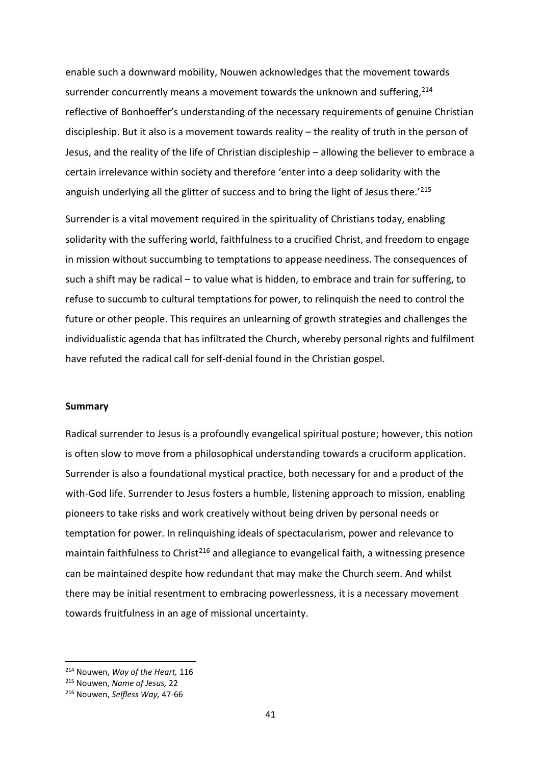enable such a downward mobility, Nouwen acknowledges that the movement towards surrender concurrently means a movement towards the unknown and suffering.<sup>214</sup> reflective of Bonhoeffer's understanding of the necessary requirements of genuine Christian discipleship. But it also is a movement towards reality – the reality of truth in the person of Jesus, and the reality of the life of Christian discipleship – allowing the believer to embrace a certain irrelevance within society and therefore 'enter into a deep solidarity with the anguish underlying all the glitter of success and to bring the light of Jesus there.<sup>'215</sup>

Surrender is a vital movement required in the spirituality of Christians today, enabling solidarity with the suffering world, faithfulness to a crucified Christ, and freedom to engage in mission without succumbing to temptations to appease neediness. The consequences of such a shift may be radical – to value what is hidden, to embrace and train for suffering, to refuse to succumb to cultural temptations for power, to relinquish the need to control the future or other people. This requires an unlearning of growth strategies and challenges the individualistic agenda that has infiltrated the Church, whereby personal rights and fulfilment have refuted the radical call for self-denial found in the Christian gospel.

#### **Summary**

Radical surrender to Jesus is a profoundly evangelical spiritual posture; however, this notion is often slow to move from a philosophical understanding towards a cruciform application. Surrender is also a foundational mystical practice, both necessary for and a product of the with-God life. Surrender to Jesus fosters a humble, listening approach to mission, enabling pioneers to take risks and work creatively without being driven by personal needs or temptation for power. In relinquishing ideals of spectacularism, power and relevance to maintain faithfulness to Christ<sup>216</sup> and allegiance to evangelical faith, a witnessing presence can be maintained despite how redundant that may make the Church seem. And whilst there may be initial resentment to embracing powerlessness, it is a necessary movement towards fruitfulness in an age of missional uncertainty.

<sup>214</sup> Nouwen, *Way of the Heart,* 116

<sup>215</sup> Nouwen, *Name of Jesus,* 22

<sup>216</sup> Nouwen, *Selfless Way,* 47-66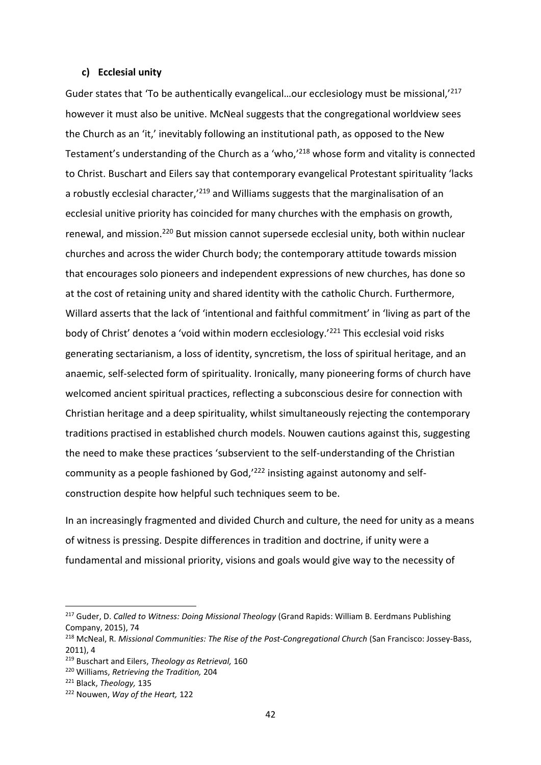#### **c) Ecclesial unity**

Guder states that 'To be authentically evangelical...our ecclesiology must be missional,<sup>'217</sup> however it must also be unitive. McNeal suggests that the congregational worldview sees the Church as an 'it,' inevitably following an institutional path, as opposed to the New Testament's understanding of the Church as a 'who,'<sup>218</sup> whose form and vitality is connected to Christ. Buschart and Eilers say that contemporary evangelical Protestant spirituality 'lacks a robustly ecclesial character,<sup>'219</sup> and Williams suggests that the marginalisation of an ecclesial unitive priority has coincided for many churches with the emphasis on growth, renewal, and mission.<sup>220</sup> But mission cannot supersede ecclesial unity, both within nuclear churches and across the wider Church body; the contemporary attitude towards mission that encourages solo pioneers and independent expressions of new churches, has done so at the cost of retaining unity and shared identity with the catholic Church. Furthermore, Willard asserts that the lack of 'intentional and faithful commitment' in 'living as part of the body of Christ' denotes a 'void within modern ecclesiology.'<sup>221</sup> This ecclesial void risks generating sectarianism, a loss of identity, syncretism, the loss of spiritual heritage, and an anaemic, self-selected form of spirituality. Ironically, many pioneering forms of church have welcomed ancient spiritual practices, reflecting a subconscious desire for connection with Christian heritage and a deep spirituality, whilst simultaneously rejecting the contemporary traditions practised in established church models. Nouwen cautions against this, suggesting the need to make these practices 'subservient to the self-understanding of the Christian community as a people fashioned by God,'<sup>222</sup> insisting against autonomy and selfconstruction despite how helpful such techniques seem to be.

In an increasingly fragmented and divided Church and culture, the need for unity as a means of witness is pressing. Despite differences in tradition and doctrine, if unity were a fundamental and missional priority, visions and goals would give way to the necessity of

<sup>217</sup> Guder, D. *Called to Witness: Doing Missional Theology* (Grand Rapids: William B. Eerdmans Publishing Company, 2015), 74

<sup>218</sup> McNeal, R. *Missional Communities: The Rise of the Post-Congregational Church* (San Francisco: Jossey-Bass, 2011), 4

<sup>219</sup> Buschart and Eilers, *Theology as Retrieval,* 160

<sup>220</sup> Williams, *Retrieving the Tradition,* 204

<sup>221</sup> Black, *Theology,* 135

<sup>222</sup> Nouwen, *Way of the Heart,* 122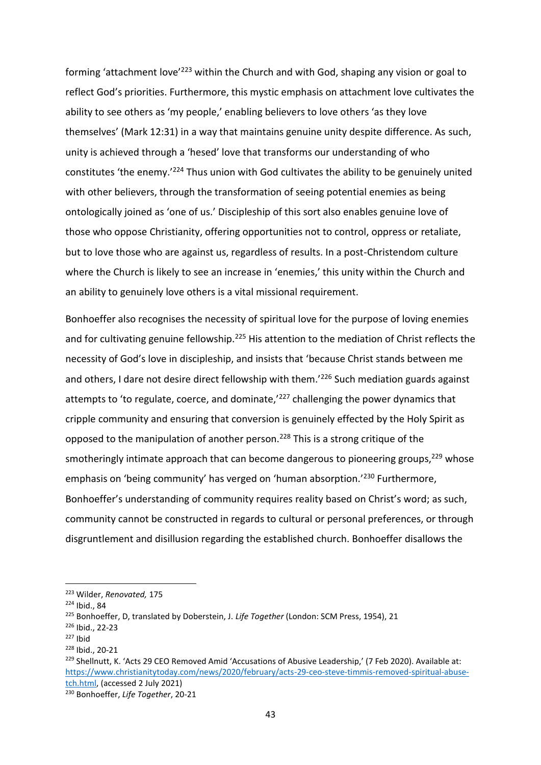forming 'attachment love'<sup>223</sup> within the Church and with God, shaping any vision or goal to reflect God's priorities. Furthermore, this mystic emphasis on attachment love cultivates the ability to see others as 'my people,' enabling believers to love others 'as they love themselves' (Mark 12:31) in a way that maintains genuine unity despite difference. As such, unity is achieved through a 'hesed' love that transforms our understanding of who constitutes 'the enemy.'<sup>224</sup> Thus union with God cultivates the ability to be genuinely united with other believers, through the transformation of seeing potential enemies as being ontologically joined as 'one of us.' Discipleship of this sort also enables genuine love of those who oppose Christianity, offering opportunities not to control, oppress or retaliate, but to love those who are against us, regardless of results. In a post-Christendom culture where the Church is likely to see an increase in 'enemies,' this unity within the Church and an ability to genuinely love others is a vital missional requirement.

Bonhoeffer also recognises the necessity of spiritual love for the purpose of loving enemies and for cultivating genuine fellowship.<sup>225</sup> His attention to the mediation of Christ reflects the necessity of God's love in discipleship, and insists that 'because Christ stands between me and others, I dare not desire direct fellowship with them.<sup>'226</sup> Such mediation guards against attempts to 'to regulate, coerce, and dominate, $227$  challenging the power dynamics that cripple community and ensuring that conversion is genuinely effected by the Holy Spirit as opposed to the manipulation of another person.<sup>228</sup> This is a strong critique of the smotheringly intimate approach that can become dangerous to pioneering groups, $229$  whose emphasis on 'being community' has verged on 'human absorption.'<sup>230</sup> Furthermore, Bonhoeffer's understanding of community requires reality based on Christ's word; as such, community cannot be constructed in regards to cultural or personal preferences, or through disgruntlement and disillusion regarding the established church. Bonhoeffer disallows the

<sup>223</sup> Wilder, *Renovated,* 175

<sup>224</sup> Ibid., 84

<sup>225</sup> Bonhoeffer, D, translated by Doberstein, J. *Life Together* (London: SCM Press, 1954), 21

<sup>226</sup> Ibid., 22-23

 $227$  Ibid

<sup>228</sup> Ibid., 20-21

<sup>&</sup>lt;sup>229</sup> Shellnutt, K. 'Acts 29 CEO Removed Amid 'Accusations of Abusive Leadership,' (7 Feb 2020). Available at: [https://www.christianitytoday.com/news/2020/february/acts-29-ceo-steve-timmis-removed-spiritual-abuse](https://www.christianitytoday.com/news/2020/february/acts-29-ceo-steve-timmis-removed-spiritual-abuse-tch.html)[tch.html,](https://www.christianitytoday.com/news/2020/february/acts-29-ceo-steve-timmis-removed-spiritual-abuse-tch.html) (accessed 2 July 2021)

<sup>230</sup> Bonhoeffer, *Life Together*, 20-21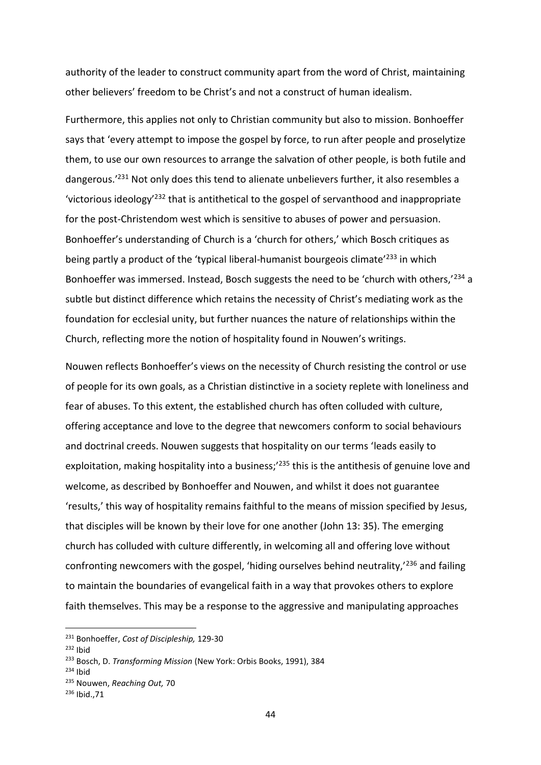authority of the leader to construct community apart from the word of Christ, maintaining other believers' freedom to be Christ's and not a construct of human idealism.

Furthermore, this applies not only to Christian community but also to mission. Bonhoeffer says that 'every attempt to impose the gospel by force, to run after people and proselytize them, to use our own resources to arrange the salvation of other people, is both futile and dangerous.'<sup>231</sup> Not only does this tend to alienate unbelievers further, it also resembles a 'victorious ideology'<sup>232</sup> that is antithetical to the gospel of servanthood and inappropriate for the post-Christendom west which is sensitive to abuses of power and persuasion. Bonhoeffer's understanding of Church is a 'church for others,' which Bosch critiques as being partly a product of the 'typical liberal-humanist bourgeois climate'<sup>233</sup> in which Bonhoeffer was immersed. Instead, Bosch suggests the need to be 'church with others,'<sup>234</sup> a subtle but distinct difference which retains the necessity of Christ's mediating work as the foundation for ecclesial unity, but further nuances the nature of relationships within the Church, reflecting more the notion of hospitality found in Nouwen's writings.

Nouwen reflects Bonhoeffer's views on the necessity of Church resisting the control or use of people for its own goals, as a Christian distinctive in a society replete with loneliness and fear of abuses. To this extent, the established church has often colluded with culture, offering acceptance and love to the degree that newcomers conform to social behaviours and doctrinal creeds. Nouwen suggests that hospitality on our terms 'leads easily to exploitation, making hospitality into a business;<sup>235</sup> this is the antithesis of genuine love and welcome, as described by Bonhoeffer and Nouwen, and whilst it does not guarantee 'results,' this way of hospitality remains faithful to the means of mission specified by Jesus, that disciples will be known by their love for one another (John 13: 35). The emerging church has colluded with culture differently, in welcoming all and offering love without confronting newcomers with the gospel, 'hiding ourselves behind neutrality,'<sup>236</sup> and failing to maintain the boundaries of evangelical faith in a way that provokes others to explore faith themselves. This may be a response to the aggressive and manipulating approaches

<sup>231</sup> Bonhoeffer, *Cost of Discipleship,* 129-30

 $232$  Ibid

<sup>233</sup> Bosch, D. *Transforming Mission* (New York: Orbis Books, 1991), 384

<sup>234</sup> Ibid

<sup>235</sup> Nouwen, *Reaching Out,* 70

<sup>236</sup> Ibid.,71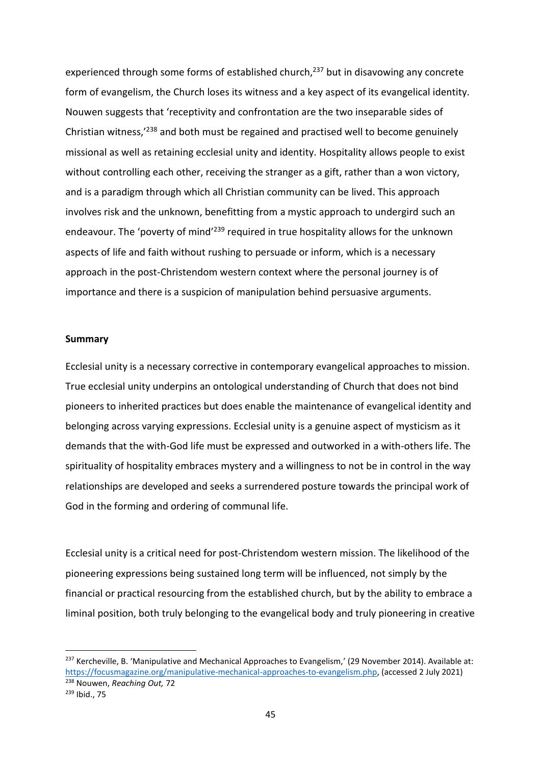experienced through some forms of established church,<sup>237</sup> but in disavowing any concrete form of evangelism, the Church loses its witness and a key aspect of its evangelical identity. Nouwen suggests that 'receptivity and confrontation are the two inseparable sides of Christian witness,'<sup>238</sup> and both must be regained and practised well to become genuinely missional as well as retaining ecclesial unity and identity. Hospitality allows people to exist without controlling each other, receiving the stranger as a gift, rather than a won victory, and is a paradigm through which all Christian community can be lived. This approach involves risk and the unknown, benefitting from a mystic approach to undergird such an endeavour. The 'poverty of mind<sup>'239</sup> required in true hospitality allows for the unknown aspects of life and faith without rushing to persuade or inform, which is a necessary approach in the post-Christendom western context where the personal journey is of importance and there is a suspicion of manipulation behind persuasive arguments.

#### **Summary**

Ecclesial unity is a necessary corrective in contemporary evangelical approaches to mission. True ecclesial unity underpins an ontological understanding of Church that does not bind pioneers to inherited practices but does enable the maintenance of evangelical identity and belonging across varying expressions. Ecclesial unity is a genuine aspect of mysticism as it demands that the with-God life must be expressed and outworked in a with-others life. The spirituality of hospitality embraces mystery and a willingness to not be in control in the way relationships are developed and seeks a surrendered posture towards the principal work of God in the forming and ordering of communal life.

Ecclesial unity is a critical need for post-Christendom western mission. The likelihood of the pioneering expressions being sustained long term will be influenced, not simply by the financial or practical resourcing from the established church, but by the ability to embrace a liminal position, both truly belonging to the evangelical body and truly pioneering in creative

<sup>&</sup>lt;sup>237</sup> Kercheville, B. 'Manipulative and Mechanical Approaches to Evangelism,' (29 November 2014). Available at: [https://focusmagazine.org/manipulative-mechanical-approaches-to-evangelism.php,](https://focusmagazine.org/manipulative-mechanical-approaches-to-evangelism.php) (accessed 2 July 2021) <sup>238</sup> Nouwen, *Reaching Out,* 72

<sup>239</sup> Ibid., 75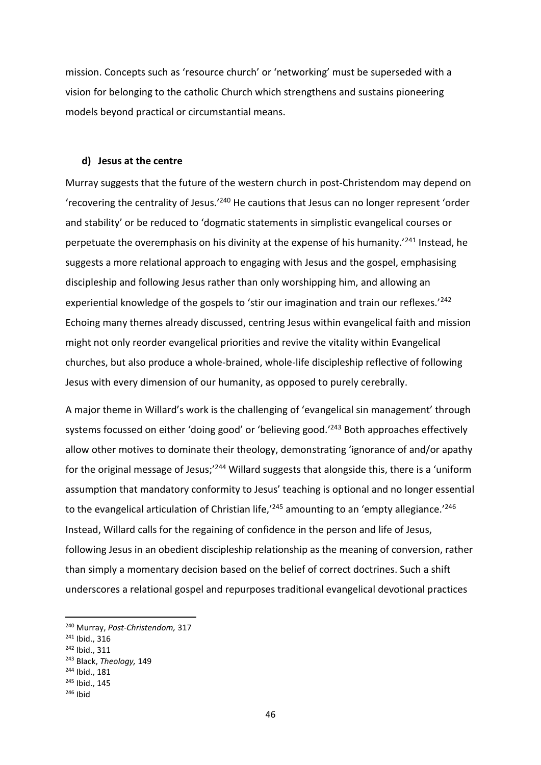mission. Concepts such as 'resource church' or 'networking' must be superseded with a vision for belonging to the catholic Church which strengthens and sustains pioneering models beyond practical or circumstantial means.

#### **d) Jesus at the centre**

Murray suggests that the future of the western church in post-Christendom may depend on 'recovering the centrality of Jesus.'<sup>240</sup> He cautions that Jesus can no longer represent 'order and stability' or be reduced to 'dogmatic statements in simplistic evangelical courses or perpetuate the overemphasis on his divinity at the expense of his humanity.'<sup>241</sup> Instead, he suggests a more relational approach to engaging with Jesus and the gospel, emphasising discipleship and following Jesus rather than only worshipping him, and allowing an experiential knowledge of the gospels to 'stir our imagination and train our reflexes.'<sup>242</sup> Echoing many themes already discussed, centring Jesus within evangelical faith and mission might not only reorder evangelical priorities and revive the vitality within Evangelical churches, but also produce a whole-brained, whole-life discipleship reflective of following Jesus with every dimension of our humanity, as opposed to purely cerebrally.

A major theme in Willard's work is the challenging of 'evangelical sin management' through systems focussed on either 'doing good' or 'believing good.' <sup>243</sup> Both approaches effectively allow other motives to dominate their theology, demonstrating 'ignorance of and/or apathy for the original message of Jesus;<sup>'244</sup> Willard suggests that alongside this, there is a 'uniform assumption that mandatory conformity to Jesus' teaching is optional and no longer essential to the evangelical articulation of Christian life,<sup>'245</sup> amounting to an 'empty allegiance.'<sup>246</sup> Instead, Willard calls for the regaining of confidence in the person and life of Jesus, following Jesus in an obedient discipleship relationship as the meaning of conversion, rather than simply a momentary decision based on the belief of correct doctrines. Such a shift underscores a relational gospel and repurposes traditional evangelical devotional practices

<sup>240</sup> Murray, *Post-Christendom,* 317

<sup>241</sup> Ibid., 316

<sup>242</sup> Ibid., 311

<sup>243</sup> Black, *Theology,* 149

<sup>244</sup> Ibid., 181

<sup>245</sup> Ibid., 145

 $246$  Ibid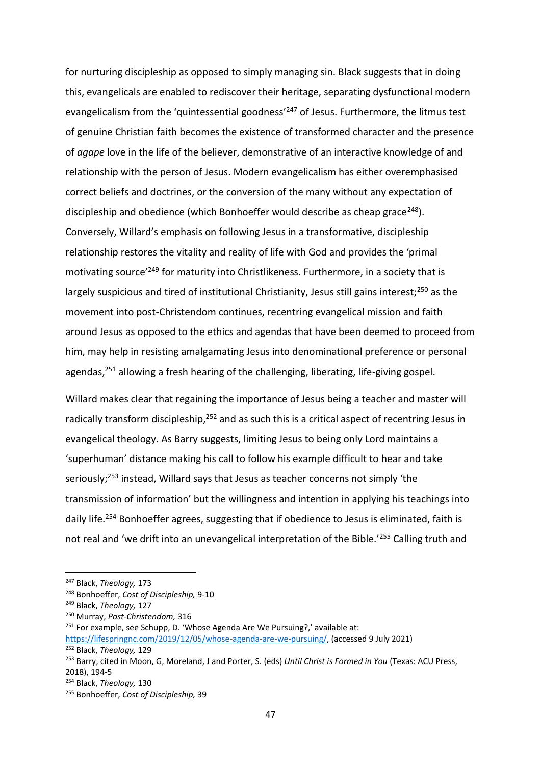for nurturing discipleship as opposed to simply managing sin. Black suggests that in doing this, evangelicals are enabled to rediscover their heritage, separating dysfunctional modern evangelicalism from the 'quintessential goodness'<sup>247</sup> of Jesus. Furthermore, the litmus test of genuine Christian faith becomes the existence of transformed character and the presence of *agape* love in the life of the believer, demonstrative of an interactive knowledge of and relationship with the person of Jesus. Modern evangelicalism has either overemphasised correct beliefs and doctrines, or the conversion of the many without any expectation of discipleship and obedience (which Bonhoeffer would describe as cheap grace<sup>248</sup>). Conversely, Willard's emphasis on following Jesus in a transformative, discipleship relationship restores the vitality and reality of life with God and provides the 'primal motivating source<sup>'249</sup> for maturity into Christlikeness. Furthermore, in a society that is largely suspicious and tired of institutional Christianity, Jesus still gains interest;<sup>250</sup> as the movement into post-Christendom continues, recentring evangelical mission and faith around Jesus as opposed to the ethics and agendas that have been deemed to proceed from him, may help in resisting amalgamating Jesus into denominational preference or personal agendas, $251$  allowing a fresh hearing of the challenging, liberating, life-giving gospel.

Willard makes clear that regaining the importance of Jesus being a teacher and master will radically transform discipleship,<sup>252</sup> and as such this is a critical aspect of recentring Jesus in evangelical theology. As Barry suggests, limiting Jesus to being only Lord maintains a 'superhuman' distance making his call to follow his example difficult to hear and take seriously;<sup>253</sup> instead, Willard says that Jesus as teacher concerns not simply 'the transmission of information' but the willingness and intention in applying his teachings into daily life.<sup>254</sup> Bonhoeffer agrees, suggesting that if obedience to Jesus is eliminated, faith is not real and 'we drift into an unevangelical interpretation of the Bible.'<sup>255</sup> Calling truth and

<sup>247</sup> Black, *Theology,* 173

<sup>248</sup> Bonhoeffer, *Cost of Discipleship,* 9-10

<sup>249</sup> Black, *Theology,* 127

<sup>250</sup> Murray, *Post-Christendom,* 316

 $251$  For example, see Schupp, D. 'Whose Agenda Are We Pursuing?,' available at:

[https://lifespringnc.com/2019/12/05/whose-agenda-are-we-pursuing/,](https://lifespringnc.com/2019/12/05/whose-agenda-are-we-pursuing/) (accessed 9 July 2021) <sup>252</sup> Black, *Theology,* 129

<sup>253</sup> Barry, cited in Moon, G, Moreland, J and Porter, S. (eds) *Until Christ is Formed in You* (Texas: ACU Press, 2018), 194-5

<sup>254</sup> Black, *Theology,* 130

<sup>255</sup> Bonhoeffer, *Cost of Discipleship,* 39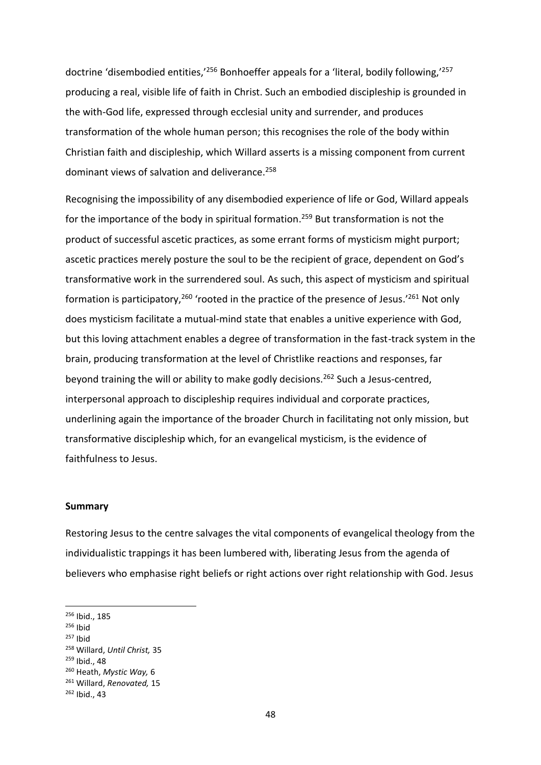doctrine 'disembodied entities,<sup>'256</sup> Bonhoeffer appeals for a 'literal, bodily following.'<sup>257</sup> producing a real, visible life of faith in Christ. Such an embodied discipleship is grounded in the with-God life, expressed through ecclesial unity and surrender, and produces transformation of the whole human person; this recognises the role of the body within Christian faith and discipleship, which Willard asserts is a missing component from current dominant views of salvation and deliverance.<sup>258</sup>

Recognising the impossibility of any disembodied experience of life or God, Willard appeals for the importance of the body in spiritual formation. <sup>259</sup> But transformation is not the product of successful ascetic practices, as some errant forms of mysticism might purport; ascetic practices merely posture the soul to be the recipient of grace, dependent on God's transformative work in the surrendered soul. As such, this aspect of mysticism and spiritual formation is participatory,<sup>260</sup> 'rooted in the practice of the presence of Jesus.'<sup>261</sup> Not only does mysticism facilitate a mutual-mind state that enables a unitive experience with God, but this loving attachment enables a degree of transformation in the fast-track system in the brain, producing transformation at the level of Christlike reactions and responses, far beyond training the will or ability to make godly decisions.<sup>262</sup> Such a Jesus-centred, interpersonal approach to discipleship requires individual and corporate practices, underlining again the importance of the broader Church in facilitating not only mission, but transformative discipleship which, for an evangelical mysticism, is the evidence of faithfulness to Jesus.

#### **Summary**

Restoring Jesus to the centre salvages the vital components of evangelical theology from the individualistic trappings it has been lumbered with, liberating Jesus from the agenda of believers who emphasise right beliefs or right actions over right relationship with God. Jesus

 $257$  Ibid

<sup>259</sup> Ibid., 48

<sup>256</sup> Ibid., 185

 $256$  Ibid

<sup>258</sup> Willard, *Until Christ,* 35

<sup>260</sup> Heath, *Mystic Way,* 6

<sup>261</sup> Willard, *Renovated,* 15

<sup>262</sup> Ibid., 43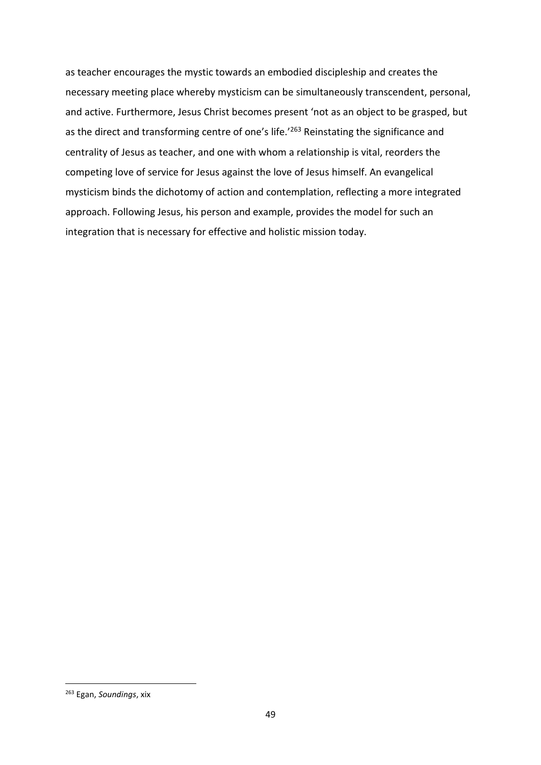as teacher encourages the mystic towards an embodied discipleship and creates the necessary meeting place whereby mysticism can be simultaneously transcendent, personal, and active. Furthermore, Jesus Christ becomes present 'not as an object to be grasped, but as the direct and transforming centre of one's life.<sup>'263</sup> Reinstating the significance and centrality of Jesus as teacher, and one with whom a relationship is vital, reorders the competing love of service for Jesus against the love of Jesus himself. An evangelical mysticism binds the dichotomy of action and contemplation, reflecting a more integrated approach. Following Jesus, his person and example, provides the model for such an integration that is necessary for effective and holistic mission today.

<sup>263</sup> Egan, *Soundings*, xix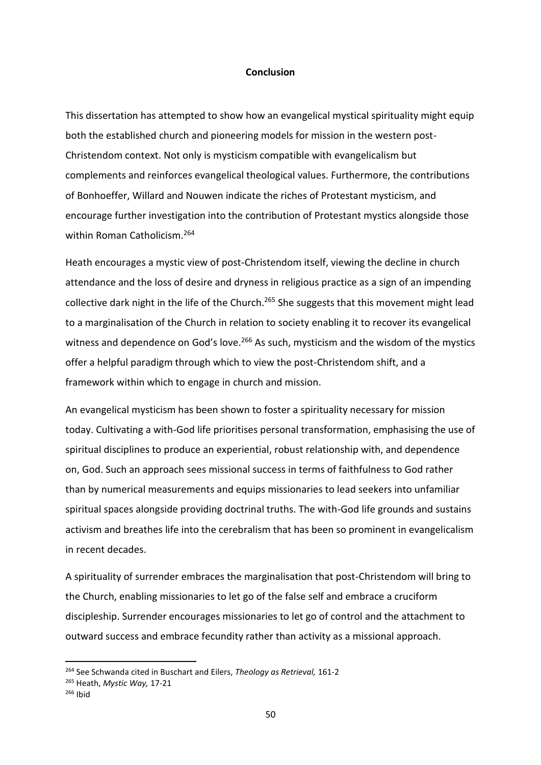#### **Conclusion**

This dissertation has attempted to show how an evangelical mystical spirituality might equip both the established church and pioneering models for mission in the western post-Christendom context. Not only is mysticism compatible with evangelicalism but complements and reinforces evangelical theological values. Furthermore, the contributions of Bonhoeffer, Willard and Nouwen indicate the riches of Protestant mysticism, and encourage further investigation into the contribution of Protestant mystics alongside those within Roman Catholicism.<sup>264</sup>

Heath encourages a mystic view of post-Christendom itself, viewing the decline in church attendance and the loss of desire and dryness in religious practice as a sign of an impending collective dark night in the life of the Church.<sup>265</sup> She suggests that this movement might lead to a marginalisation of the Church in relation to society enabling it to recover its evangelical witness and dependence on God's love.<sup>266</sup> As such, mysticism and the wisdom of the mystics offer a helpful paradigm through which to view the post-Christendom shift, and a framework within which to engage in church and mission.

An evangelical mysticism has been shown to foster a spirituality necessary for mission today. Cultivating a with-God life prioritises personal transformation, emphasising the use of spiritual disciplines to produce an experiential, robust relationship with, and dependence on, God. Such an approach sees missional success in terms of faithfulness to God rather than by numerical measurements and equips missionaries to lead seekers into unfamiliar spiritual spaces alongside providing doctrinal truths. The with-God life grounds and sustains activism and breathes life into the cerebralism that has been so prominent in evangelicalism in recent decades.

A spirituality of surrender embraces the marginalisation that post-Christendom will bring to the Church, enabling missionaries to let go of the false self and embrace a cruciform discipleship. Surrender encourages missionaries to let go of control and the attachment to outward success and embrace fecundity rather than activity as a missional approach.

<sup>264</sup> See Schwanda cited in Buschart and Eilers, *Theology as Retrieval,* 161-2

<sup>265</sup> Heath, *Mystic Way,* 17-21

 $266$  Ibid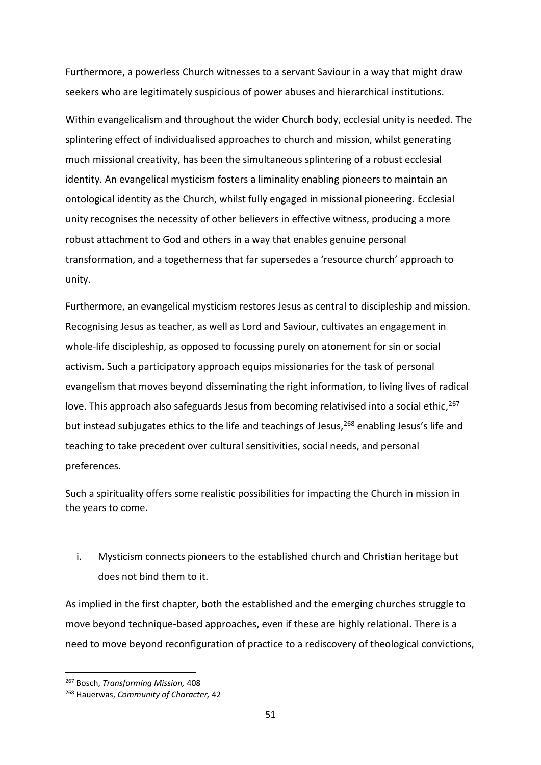Furthermore, a powerless Church witnesses to a servant Saviour in a way that might draw seekers who are legitimately suspicious of power abuses and hierarchical institutions.

Within evangelicalism and throughout the wider Church body, ecclesial unity is needed. The splintering effect of individualised approaches to church and mission, whilst generating much missional creativity, has been the simultaneous splintering of a robust ecclesial identity. An evangelical mysticism fosters a liminality enabling pioneers to maintain an ontological identity as the Church, whilst fully engaged in missional pioneering. Ecclesial unity recognises the necessity of other believers in effective witness, producing a more robust attachment to God and others in a way that enables genuine personal transformation, and a togetherness that far supersedes a 'resource church' approach to unity.

Furthermore, an evangelical mysticism restores Jesus as central to discipleship and mission. Recognising Jesus as teacher, as well as Lord and Saviour, cultivates an engagement in whole-life discipleship, as opposed to focussing purely on atonement for sin or social activism. Such a participatory approach equips missionaries for the task of personal evangelism that moves beyond disseminating the right information, to living lives of radical love. This approach also safeguards Jesus from becoming relativised into a social ethic, 267 but instead subjugates ethics to the life and teachings of Jesus,<sup>268</sup> enabling Jesus's life and teaching to take precedent over cultural sensitivities, social needs, and personal preferences.

Such a spirituality offers some realistic possibilities for impacting the Church in mission in the years to come.

i. Mysticism connects pioneers to the established church and Christian heritage but does not bind them to it.

As implied in the first chapter, both the established and the emerging churches struggle to move beyond technique-based approaches, even if these are highly relational. There is a need to move beyond reconfiguration of practice to a rediscovery of theological convictions,

<sup>267</sup> Bosch, *Transforming Mission,* 408

<sup>268</sup> Hauerwas, *Community of Character,* 42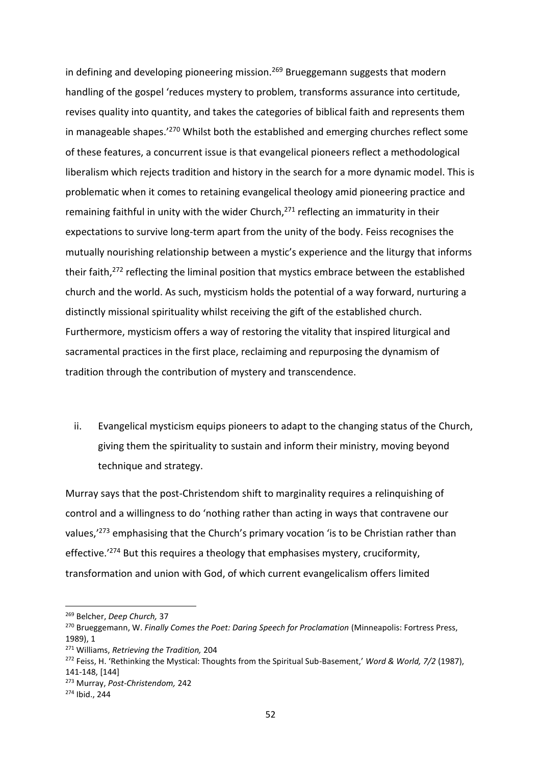in defining and developing pioneering mission.<sup>269</sup> Brueggemann suggests that modern handling of the gospel 'reduces mystery to problem, transforms assurance into certitude, revises quality into quantity, and takes the categories of biblical faith and represents them in manageable shapes.'<sup>270</sup> Whilst both the established and emerging churches reflect some of these features, a concurrent issue is that evangelical pioneers reflect a methodological liberalism which rejects tradition and history in the search for a more dynamic model. This is problematic when it comes to retaining evangelical theology amid pioneering practice and remaining faithful in unity with the wider Church, $271$  reflecting an immaturity in their expectations to survive long-term apart from the unity of the body. Feiss recognises the mutually nourishing relationship between a mystic's experience and the liturgy that informs their faith,<sup>272</sup> reflecting the liminal position that mystics embrace between the established church and the world. As such, mysticism holds the potential of a way forward, nurturing a distinctly missional spirituality whilst receiving the gift of the established church. Furthermore, mysticism offers a way of restoring the vitality that inspired liturgical and sacramental practices in the first place, reclaiming and repurposing the dynamism of tradition through the contribution of mystery and transcendence.

ii. Evangelical mysticism equips pioneers to adapt to the changing status of the Church, giving them the spirituality to sustain and inform their ministry, moving beyond technique and strategy.

Murray says that the post-Christendom shift to marginality requires a relinquishing of control and a willingness to do 'nothing rather than acting in ways that contravene our values,<sup>'273</sup> emphasising that the Church's primary vocation 'is to be Christian rather than effective.'<sup>274</sup> But this requires a theology that emphasises mystery, cruciformity, transformation and union with God, of which current evangelicalism offers limited

<sup>271</sup> Williams, *Retrieving the Tradition,* 204

<sup>269</sup> Belcher, *Deep Church,* 37

<sup>270</sup> Brueggemann, W. *Finally Comes the Poet: Daring Speech for Proclamation* (Minneapolis: Fortress Press, 1989), 1

<sup>272</sup> Feiss, H. 'Rethinking the Mystical: Thoughts from the Spiritual Sub-Basement,' *Word & World, 7/2* (1987), 141-148, [144]

<sup>273</sup> Murray, *Post-Christendom,* 242

<sup>274</sup> Ibid., 244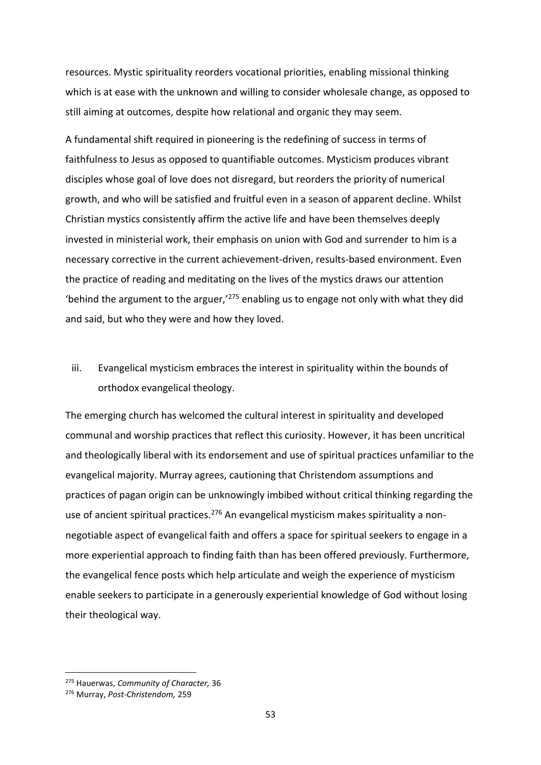resources. Mystic spirituality reorders vocational priorities, enabling missional thinking which is at ease with the unknown and willing to consider wholesale change, as opposed to still aiming at outcomes, despite how relational and organic they may seem.

A fundamental shift required in pioneering is the redefining of success in terms of faithfulness to Jesus as opposed to quantifiable outcomes. Mysticism produces vibrant disciples whose goal of love does not disregard, but reorders the priority of numerical growth, and who will be satisfied and fruitful even in a season of apparent decline. Whilst Christian mystics consistently affirm the active life and have been themselves deeply invested in ministerial work, their emphasis on union with God and surrender to him is a necessary corrective in the current achievement-driven, results-based environment. Even the practice of reading and meditating on the lives of the mystics draws our attention 'behind the argument to the arguer, $1275$  enabling us to engage not only with what they did and said, but who they were and how they loved.

# iii. Evangelical mysticism embraces the interest in spirituality within the bounds of orthodox evangelical theology.

The emerging church has welcomed the cultural interest in spirituality and developed communal and worship practices that reflect this curiosity. However, it has been uncritical and theologically liberal with its endorsement and use of spiritual practices unfamiliar to the evangelical majority. Murray agrees, cautioning that Christendom assumptions and practices of pagan origin can be unknowingly imbibed without critical thinking regarding the use of ancient spiritual practices.<sup>276</sup> An evangelical mysticism makes spirituality a nonnegotiable aspect of evangelical faith and offers a space for spiritual seekers to engage in a more experiential approach to finding faith than has been offered previously. Furthermore, the evangelical fence posts which help articulate and weigh the experience of mysticism enable seekers to participate in a generously experiential knowledge of God without losing their theological way.

<sup>275</sup> Hauerwas, *Community of Character,* 36

<sup>276</sup> Murray, *Post-Christendom,* 259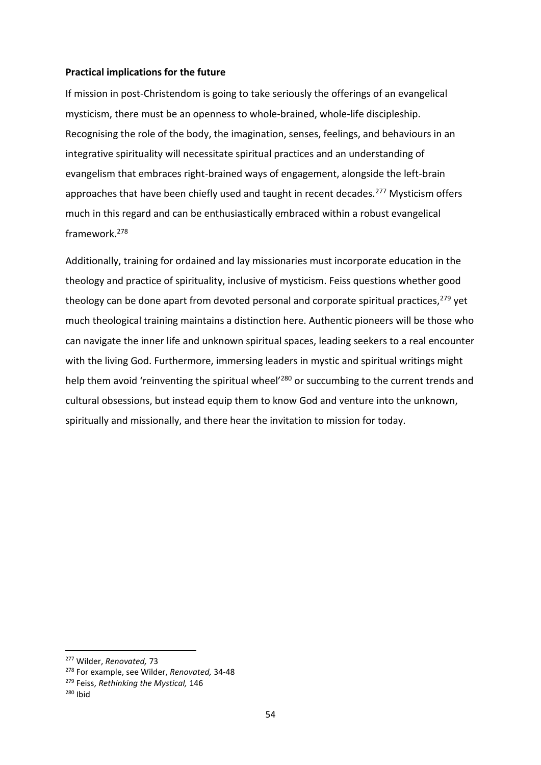# **Practical implications for the future**

If mission in post-Christendom is going to take seriously the offerings of an evangelical mysticism, there must be an openness to whole-brained, whole-life discipleship. Recognising the role of the body, the imagination, senses, feelings, and behaviours in an integrative spirituality will necessitate spiritual practices and an understanding of evangelism that embraces right-brained ways of engagement, alongside the left-brain approaches that have been chiefly used and taught in recent decades.<sup>277</sup> Mysticism offers much in this regard and can be enthusiastically embraced within a robust evangelical framework.<sup>278</sup>

Additionally, training for ordained and lay missionaries must incorporate education in the theology and practice of spirituality, inclusive of mysticism. Feiss questions whether good theology can be done apart from devoted personal and corporate spiritual practices,  $279$  yet much theological training maintains a distinction here. Authentic pioneers will be those who can navigate the inner life and unknown spiritual spaces, leading seekers to a real encounter with the living God. Furthermore, immersing leaders in mystic and spiritual writings might help them avoid 'reinventing the spiritual wheel'<sup>280</sup> or succumbing to the current trends and cultural obsessions, but instead equip them to know God and venture into the unknown, spiritually and missionally, and there hear the invitation to mission for today.

<sup>277</sup> Wilder, *Renovated,* 73

<sup>278</sup> For example, see Wilder, *Renovated,* 34-48

<sup>279</sup> Feiss, *Rethinking the Mystical,* 146

<sup>280</sup> Ibid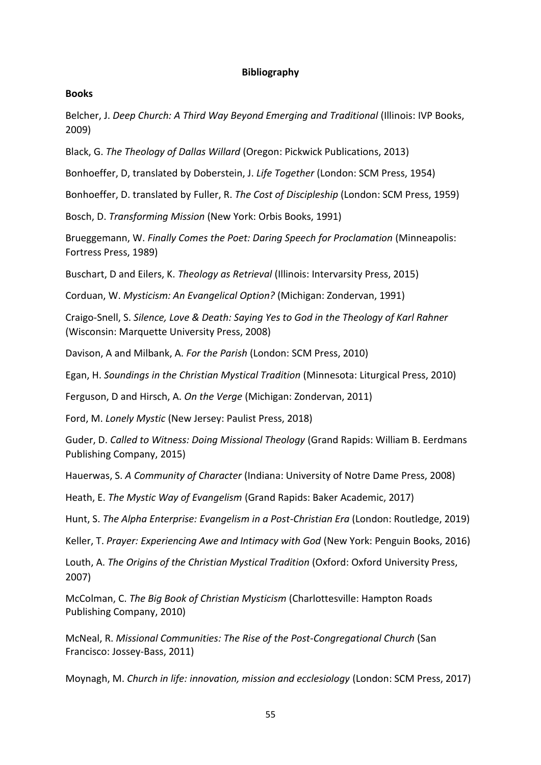# **Bibliography**

# **Books**

Belcher, J. *Deep Church: A Third Way Beyond Emerging and Traditional* (Illinois: IVP Books, 2009)

Black, G. *The Theology of Dallas Willard* (Oregon: Pickwick Publications, 2013)

Bonhoeffer, D, translated by Doberstein, J. *Life Together* (London: SCM Press, 1954)

Bonhoeffer, D. translated by Fuller, R. *The Cost of Discipleship* (London: SCM Press, 1959)

Bosch, D. *Transforming Mission* (New York: Orbis Books, 1991)

Brueggemann, W. *Finally Comes the Poet: Daring Speech for Proclamation* (Minneapolis: Fortress Press, 1989)

Buschart, D and Eilers, K. *Theology as Retrieval* (Illinois: Intervarsity Press, 2015)

Corduan, W. *Mysticism: An Evangelical Option?* (Michigan: Zondervan, 1991)

Craigo-Snell, S. *Silence, Love & Death: Saying Yes to God in the Theology of Karl Rahner* (Wisconsin: Marquette University Press, 2008)

Davison, A and Milbank, A. *For the Parish* (London: SCM Press, 2010)

Egan, H. *Soundings in the Christian Mystical Tradition* (Minnesota: Liturgical Press, 2010)

Ferguson, D and Hirsch, A. *On the Verge* (Michigan: Zondervan, 2011)

Ford, M. *Lonely Mystic* (New Jersey: Paulist Press, 2018)

Guder, D. *Called to Witness: Doing Missional Theology* (Grand Rapids: William B. Eerdmans Publishing Company, 2015)

Hauerwas, S. *A Community of Character* (Indiana: University of Notre Dame Press, 2008)

Heath, E. *The Mystic Way of Evangelism* (Grand Rapids: Baker Academic, 2017)

Hunt, S. *The Alpha Enterprise: Evangelism in a Post-Christian Era* (London: Routledge, 2019)

Keller, T. *Prayer: Experiencing Awe and Intimacy with God* (New York: Penguin Books, 2016)

Louth, A. *The Origins of the Christian Mystical Tradition* (Oxford: Oxford University Press, 2007)

McColman, C. *The Big Book of Christian Mysticism* (Charlottesville: Hampton Roads Publishing Company, 2010)

McNeal, R. *Missional Communities: The Rise of the Post-Congregational Church* (San Francisco: Jossey-Bass, 2011)

Moynagh, M. *Church in life: innovation, mission and ecclesiology* (London: SCM Press, 2017)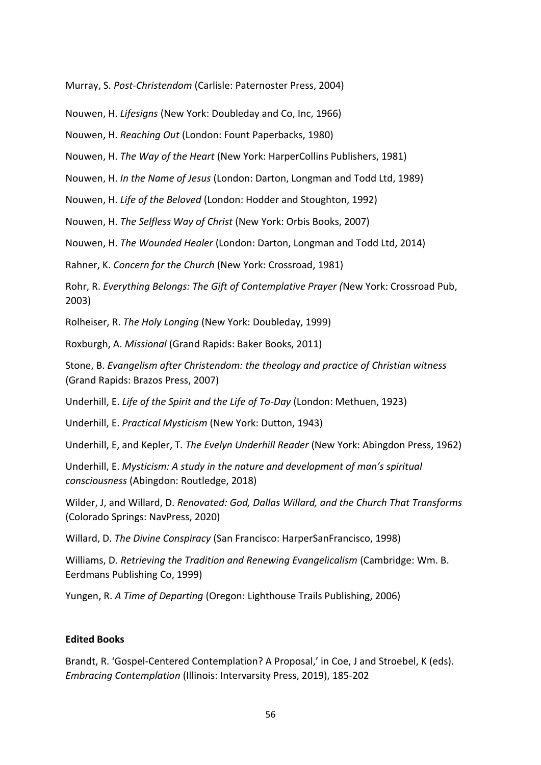Murray, S. *Post-Christendom* (Carlisle: Paternoster Press, 2004)

Nouwen, H. *Lifesigns* (New York: Doubleday and Co, Inc, 1966)

Nouwen, H. *Reaching Out* (London: Fount Paperbacks, 1980)

Nouwen, H. *The Way of the Heart* (New York: HarperCollins Publishers, 1981)

Nouwen, H. *In the Name of Jesus* (London: Darton, Longman and Todd Ltd, 1989)

Nouwen, H. *Life of the Beloved* (London: Hodder and Stoughton, 1992)

Nouwen, H. *The Selfless Way of Christ* (New York: Orbis Books, 2007)

Nouwen, H. *The Wounded Healer* (London: Darton, Longman and Todd Ltd, 2014)

Rahner, K. *Concern for the Church* (New York: Crossroad, 1981)

Rohr, R. *Everything Belongs: The Gift of Contemplative Prayer (*New York: Crossroad Pub, 2003)

Rolheiser, R. *The Holy Longing* (New York: Doubleday, 1999)

Roxburgh, A. *Missional* (Grand Rapids: Baker Books, 2011)

Stone, B. *Evangelism after Christendom: the theology and practice of Christian witness* (Grand Rapids: Brazos Press, 2007)

Underhill, E. *Life of the Spirit and the Life of To-Day* (London: Methuen, 1923)

Underhill, E. *Practical Mysticism* (New York: Dutton, 1943)

Underhill, E, and Kepler, T. *The Evelyn Underhill Reader* (New York: Abingdon Press, 1962)

Underhill, E. *Mysticism: A study in the nature and development of man's spiritual consciousness* (Abingdon: Routledge, 2018)

Wilder, J, and Willard, D. *Renovated: God, Dallas Willard, and the Church That Transforms* (Colorado Springs: NavPress, 2020)

Willard, D. *The Divine Conspiracy* (San Francisco: HarperSanFrancisco, 1998)

Williams, D. *Retrieving the Tradition and Renewing Evangelicalism* (Cambridge: Wm. B. Eerdmans Publishing Co, 1999)

Yungen, R. *A Time of Departing* (Oregon: Lighthouse Trails Publishing, 2006)

# **Edited Books**

Brandt, R. 'Gospel-Centered Contemplation? A Proposal,' in Coe, J and Stroebel, K (eds). *Embracing Contemplation* (Illinois: Intervarsity Press, 2019), 185-202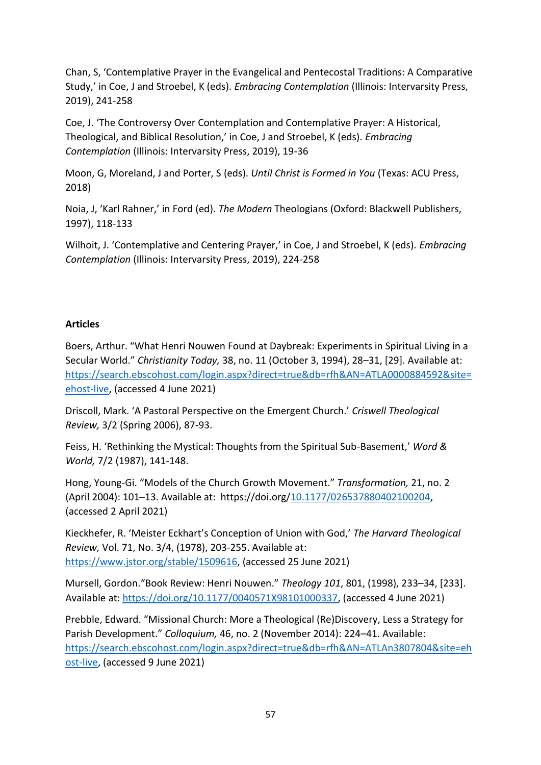Chan, S, 'Contemplative Prayer in the Evangelical and Pentecostal Traditions: A Comparative Study,' in Coe, J and Stroebel, K (eds). *Embracing Contemplation* (Illinois: Intervarsity Press, 2019), 241-258

Coe, J. 'The Controversy Over Contemplation and Contemplative Prayer: A Historical, Theological, and Biblical Resolution,' in Coe, J and Stroebel, K (eds). *Embracing Contemplation* (Illinois: Intervarsity Press, 2019), 19-36

Moon, G, Moreland, J and Porter, S (eds). *Until Christ is Formed in You* (Texas: ACU Press, 2018)

Noia, J, 'Karl Rahner,' in Ford (ed). *The Modern* Theologians (Oxford: Blackwell Publishers, 1997), 118-133

Wilhoit, J. 'Contemplative and Centering Prayer,' in Coe, J and Stroebel, K (eds). *Embracing Contemplation* (Illinois: Intervarsity Press, 2019), 224-258

# **Articles**

Boers, Arthur. "What Henri Nouwen Found at Daybreak: Experiments in Spiritual Living in a Secular World." *Christianity Today,* 38, no. 11 (October 3, 1994), 28–31, [29]. Available at: [https://search.ebscohost.com/login.aspx?direct=true&db=rfh&AN=ATLA0000884592&site=](https://search.ebscohost.com/login.aspx?direct=true&db=rfh&AN=ATLA0000884592&site=ehost-live) [ehost-live,](https://search.ebscohost.com/login.aspx?direct=true&db=rfh&AN=ATLA0000884592&site=ehost-live) (accessed 4 June 2021)

Driscoll, Mark. 'A Pastoral Perspective on the Emergent Church.' *Criswell Theological Review,* 3/2 (Spring 2006), 87-93.

Feiss, H. 'Rethinking the Mystical: Thoughts from the Spiritual Sub-Basement,' *Word & World,* 7/2 (1987), 141-148.

Hong, Young-Gi. "Models of the Church Growth Movement." *Transformation,* 21, no. 2 (April 2004): 101–13. Available at: https://doi.org[/10.1177/026537880402100204,](https://doi-org.dtl.idm.oclc.org/10.1177/026537880402100204) (accessed 2 April 2021)

Kieckhefer, R. 'Meister Eckhart's Conception of Union with God,' *The Harvard Theological Review,* Vol. 71, No. 3/4, (1978), 203-255. Available at: [https://www.jstor.org/stable/1509616,](https://www.jstor.org/stable/1509616) (accessed 25 June 2021)

Mursell, Gordon."Book Review: Henri Nouwen." *Theology 101*, 801, (1998), 233–34, [233]. Available at: [https://doi.org/10.1177/0040571X98101000337,](https://doi.org/10.1177/0040571X98101000337) (accessed 4 June 2021)

Prebble, Edward. "Missional Church: More a Theological (Re)Discovery, Less a Strategy for Parish Development." *Colloquium,* 46, no. 2 (November 2014): 224–41. Available: [https://search.ebscohost.com/login.aspx?direct=true&db=rfh&AN=ATLAn3807804&site=eh](https://search.ebscohost.com/login.aspx?direct=true&db=rfh&AN=ATLAn3807804&site=ehost-live) [ost-live,](https://search.ebscohost.com/login.aspx?direct=true&db=rfh&AN=ATLAn3807804&site=ehost-live) (accessed 9 June 2021)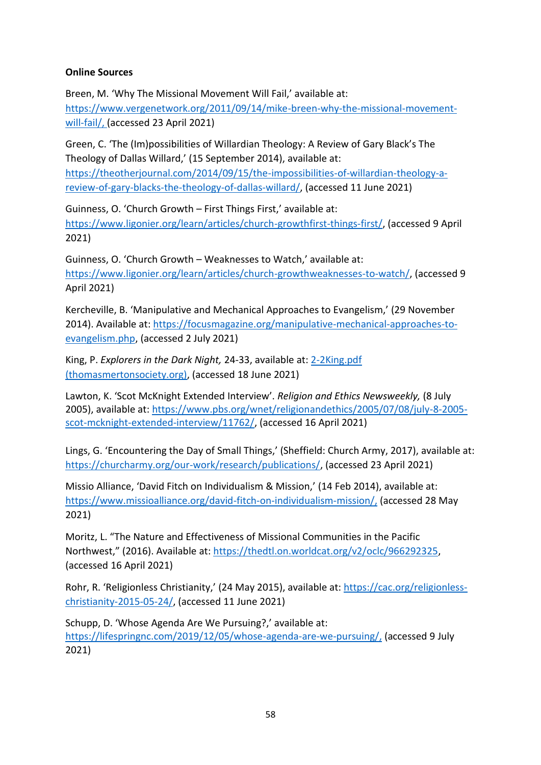# **Online Sources**

Breen, M. 'Why The Missional Movement Will Fail,' available at: [https://www.vergenetwork.org/2011/09/14/mike-breen-why-the-missional-movement](https://www.vergenetwork.org/2011/09/14/mike-breen-why-the-missional-movement-will-fail/)[will-fail/,](https://www.vergenetwork.org/2011/09/14/mike-breen-why-the-missional-movement-will-fail/) (accessed 23 April 2021)

Green, C. 'The (Im)possibilities of Willardian Theology: A Review of Gary Black's The Theology of Dallas Willard,' (15 September 2014), available at: [https://theotherjournal.com/2014/09/15/the-impossibilities-of-willardian-theology-a](https://theotherjournal.com/2014/09/15/the-impossibilities-of-willardian-theology-a-review-of-gary-blacks-the-theology-of-dallas-willard/)[review-of-gary-blacks-the-theology-of-dallas-willard/,](https://theotherjournal.com/2014/09/15/the-impossibilities-of-willardian-theology-a-review-of-gary-blacks-the-theology-of-dallas-willard/) (accessed 11 June 2021)

Guinness, O. 'Church Growth – First Things First,' available at: [https://www.ligonier.org/learn/articles/church-growthfirst-things-first/,](https://www.ligonier.org/learn/articles/church-growthfirst-things-first/) (accessed 9 April 2021)

Guinness, O. 'Church Growth – Weaknesses to Watch,' available at: [https://www.ligonier.org/learn/articles/church-growthweaknesses-to-watch/,](https://www.ligonier.org/learn/articles/church-growthweaknesses-to-watch/) (accessed 9 April 2021)

Kercheville, B. 'Manipulative and Mechanical Approaches to Evangelism,' (29 November 2014). Available at: [https://focusmagazine.org/manipulative-mechanical-approaches-to](https://focusmagazine.org/manipulative-mechanical-approaches-to-evangelism.php)[evangelism.php,](https://focusmagazine.org/manipulative-mechanical-approaches-to-evangelism.php) (accessed 2 July 2021)

King, P. *Explorers in the Dark Night,* 24-33, available at: [2-2King.pdf](http://www.thomasmertonsociety.org/Journal/02/2-2King.pdf)  [\(thomasmertonsociety.org\),](http://www.thomasmertonsociety.org/Journal/02/2-2King.pdf) (accessed 18 June 2021)

Lawton, K. 'Scot McKnight Extended Interview'. *Religion and Ethics Newsweekly,* (8 July 2005), available at: [https://www.pbs.org/wnet/religionandethics/2005/07/08/july-8-2005](https://www.pbs.org/wnet/religionandethics/2005/07/08/july-8-2005-scot-mcknight-extended-interview/11762/) [scot-mcknight-extended-interview/11762/,](https://www.pbs.org/wnet/religionandethics/2005/07/08/july-8-2005-scot-mcknight-extended-interview/11762/) (accessed 16 April 2021)

Lings, G. 'Encountering the Day of Small Things,' (Sheffield: Church Army, 2017), available at: [https://churcharmy.org/our-work/research/publications/,](https://churcharmy.org/our-work/research/publications/) (accessed 23 April 2021)

Missio Alliance, 'David Fitch on Individualism & Mission,' (14 Feb 2014), available at: [https://www.missioalliance.org/david-fitch-on-individualism-mission/,](https://www.missioalliance.org/david-fitch-on-individualism-mission/) (accessed 28 May 2021)

Moritz, L. "The Nature and Effectiveness of Missional Communities in the Pacific Northwest," (2016). Available at[: https://thedtl.on.worldcat.org/v2/oclc/966292325,](https://thedtl.on.worldcat.org/v2/oclc/966292325) (accessed 16 April 2021)

Rohr, R. 'Religionless Christianity,' (24 May 2015), available at: [https://cac.org/religionless](https://cac.org/religionless-christianity-2015-05-24/)[christianity-2015-05-24/,](https://cac.org/religionless-christianity-2015-05-24/) (accessed 11 June 2021)

Schupp, D. 'Whose Agenda Are We Pursuing?,' available at: [https://lifespringnc.com/2019/12/05/whose-agenda-are-we-pursuing/,](https://lifespringnc.com/2019/12/05/whose-agenda-are-we-pursuing/) (accessed 9 July 2021)